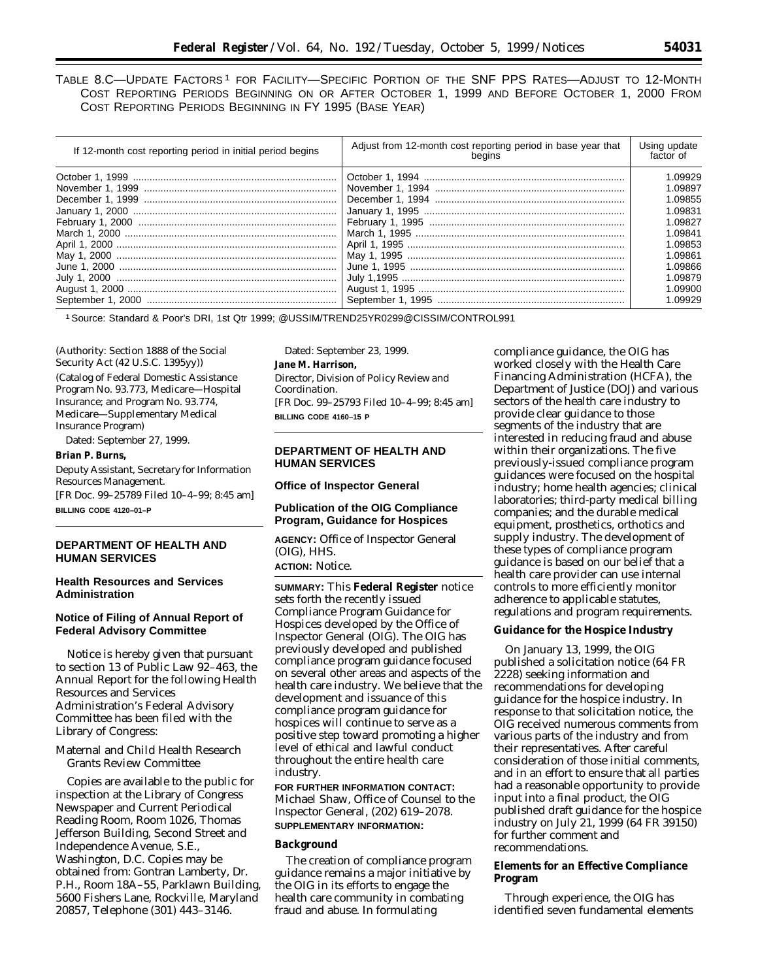TABLE 8.C—UPDATE FACTORS<sup>1</sup> FOR FACILITY—SPECIFIC PORTION OF THE SNF PPS RATES—ADJUST TO 12-MONTH COST REPORTING PERIODS BEGINNING ON OR AFTER OCTOBER 1, 1999 AND BEFORE OCTOBER 1, 2000 FROM COST REPORTING PERIODS BEGINNING IN FY 1995 (BASE YEAR)

| If 12-month cost reporting period in initial period begins | Adjust from 12-month cost reporting period in base year that<br>beains | Using update<br>factor of |
|------------------------------------------------------------|------------------------------------------------------------------------|---------------------------|
|                                                            |                                                                        | 1.09929                   |
|                                                            |                                                                        | 1.09897                   |
|                                                            |                                                                        | 1.09855                   |
|                                                            |                                                                        | 1.09831                   |
|                                                            |                                                                        | 1.09827                   |
|                                                            |                                                                        | 1.09841                   |
|                                                            |                                                                        | 1.09853                   |
|                                                            |                                                                        | 1.09861                   |
|                                                            |                                                                        | 1.09866                   |
|                                                            |                                                                        | 1.09879                   |
|                                                            |                                                                        | 1.09900                   |
|                                                            |                                                                        | 1.09929                   |

1 Source: Standard & Poor's DRI, 1st Qtr 1999; @USSIM/TREND25YR0299@CISSIM/CONTROL991

(Authority: Section 1888 of the Social Security Act (42 U.S.C. 1395yy))

(Catalog of Federal Domestic Assistance Program No. 93.773, Medicare—Hospital Insurance; and Program No. 93.774, Medicare—Supplementary Medical Insurance Program)

Dated: September 27, 1999.

# **Brian P. Burns,**

*Deputy Assistant, Secretary for Information Resources Management.*  [FR Doc. 99–25789 Filed 10–4–99; 8:45 am] **BILLING CODE 4120–01–P** 

# **DEPARTMENT OF HEALTH AND HUMAN SERVICES**

# **Health Resources and Services Administration**

# **Notice of Filing of Annual Report of Federal Advisory Committee**

Notice is hereby given that pursuant to section 13 of Public Law 92–463, the Annual Report for the following Health Resources and Services Administration's Federal Advisory Committee has been filed with the Library of Congress:

Maternal and Child Health Research Grants Review Committee

Copies are available to the public for inspection at the Library of Congress Newspaper and Current Periodical Reading Room, Room 1026, Thomas Jefferson Building, Second Street and Independence Avenue, S.E., Washington, D.C. Copies may be obtained from: Gontran Lamberty, Dr. P.H., Room 18A–55, Parklawn Building, 5600 Fishers Lane, Rockville, Maryland 20857, Telephone (301) 443–3146.

Dated: September 23, 1999.

# **Jane M. Harrison,**

*Director, Division of Policy Review and Coordination.*  [FR Doc. 99–25793 Filed 10–4–99; 8:45 am] **BILLING CODE 4160–15 P** 

# **DEPARTMENT OF HEALTH AND HUMAN SERVICES**

#### **Office of Inspector General**

#### **Publication of the OIG Compliance Program, Guidance for Hospices**

**AGENCY:** Office of Inspector General (OIG), HHS. **ACTION:** Notice.

**SUMMARY:** This **Federal Register** notice sets forth the recently issued Compliance Program Guidance for Hospices developed by the Office of Inspector General (OIG). The OIG has previously developed and published compliance program guidance focused on several other areas and aspects of the health care industry. We believe that the development and issuance of this compliance program guidance for hospices will continue to serve as a positive step toward promoting a higher level of ethical and lawful conduct throughout the entire health care industry.

**FOR FURTHER INFORMATION CONTACT:**  Michael Shaw, Office of Counsel to the Inspector General, (202) 619–2078. **SUPPLEMENTARY INFORMATION:** 

#### **Background**

The creation of compliance program guidance remains a major initiative by the OIG in its efforts to engage the health care community in combating fraud and abuse. In formulating

compliance guidance, the OIG has worked closely with the Health Care Financing Administration (HCFA), the Department of Justice (DOJ) and various sectors of the health care industry to provide clear guidance to those segments of the industry that are interested in reducing fraud and abuse within their organizations. The five previously-issued compliance program guidances were focused on the hospital industry; home health agencies; clinical laboratories; third-party medical billing companies; and the durable medical equipment, prosthetics, orthotics and supply industry. The development of these types of compliance program guidance is based on our belief that a health care provider can use internal controls to more efficiently monitor adherence to applicable statutes, regulations and program requirements.

#### **Guidance for the Hospice Industry**

On January 13, 1999, the OIG published a solicitation notice (64 FR 2228) seeking information and recommendations for developing guidance for the hospice industry. In response to that solicitation notice, the OIG received numerous comments from various parts of the industry and from their representatives. After careful consideration of those initial comments, and in an effort to ensure that all parties had a reasonable opportunity to provide input into a final product, the OIG published draft guidance for the hospice industry on July 21, 1999 (64 FR 39150) for further comment and recommendations.

# **Elements for an Effective Compliance Program**

Through experience, the OIG has identified seven fundamental elements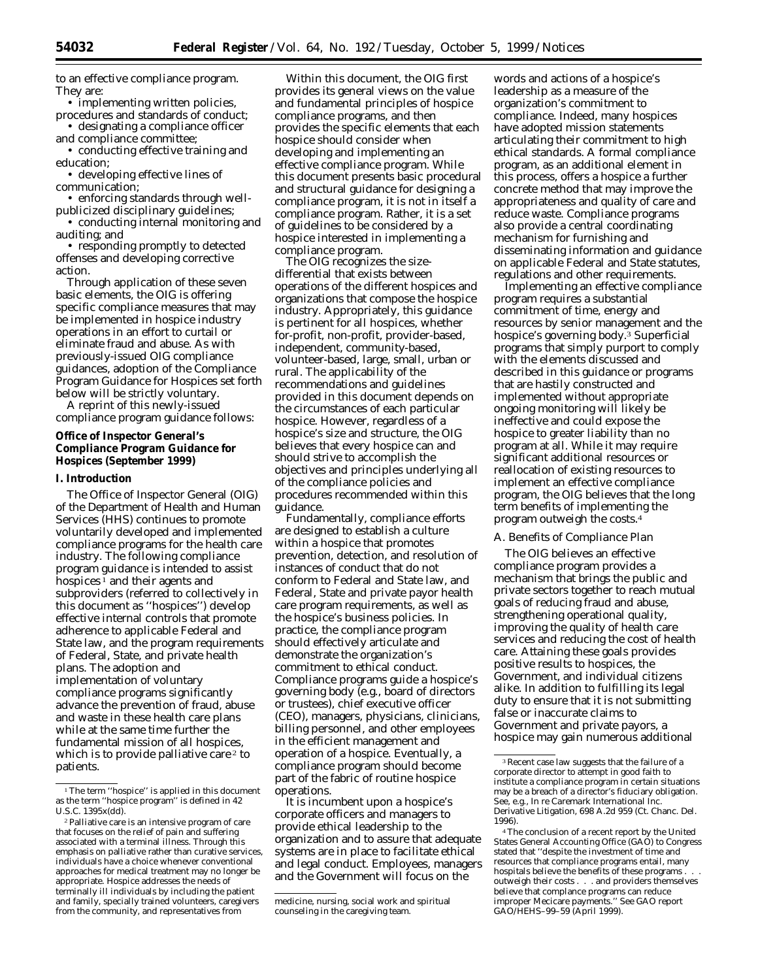to an effective compliance program. They are:

• implementing written policies, procedures and standards of conduct;

• designating a compliance officer and compliance committee;

• conducting effective training and education;

• developing effective lines of communication;

• enforcing standards through wellpublicized disciplinary guidelines;

• conducting internal monitoring and auditing; and

• responding promptly to detected offenses and developing corrective action.

Through application of these seven basic elements, the OIG is offering specific compliance measures that may be implemented in hospice industry operations in an effort to curtail or eliminate fraud and abuse. As with previously-issued OIG compliance guidances, adoption of the Compliance Program Guidance for Hospices set forth below will be strictly voluntary.

A reprint of this newly-issued compliance program guidance follows:

### **Office of Inspector General's Compliance Program Guidance for Hospices (September 1999)**

#### **I. Introduction**

The Office of Inspector General (OIG) of the Department of Health and Human Services (HHS) continues to promote voluntarily developed and implemented compliance programs for the health care industry. The following compliance program guidance is intended to assist hospices  $\frac{1}{1}$  and their agents and subproviders (referred to collectively in this document as ''hospices'') develop effective internal controls that promote adherence to applicable Federal and State law, and the program requirements of Federal, State, and private health plans. The adoption and implementation of voluntary compliance programs significantly advance the prevention of fraud, abuse and waste in these health care plans while at the same time further the fundamental mission of all hospices, which is to provide palliative care<sup>2</sup> to patients.

Within this document, the OIG first provides its general views on the value and fundamental principles of hospice compliance programs, and then provides the specific elements that each hospice should consider when developing and implementing an effective compliance program. While this document presents basic procedural and structural guidance for designing a compliance program, it is not in itself a compliance program. Rather, it is a set of guidelines to be considered by a hospice interested in implementing a compliance program.

The OIG recognizes the sizedifferential that exists between operations of the different hospices and organizations that compose the hospice industry. Appropriately, this guidance is pertinent for all hospices, whether for-profit, non-profit, provider-based, independent, community-based, volunteer-based, large, small, urban or rural. The applicability of the recommendations and guidelines provided in this document depends on the circumstances of each particular hospice. However, regardless of a hospice's size and structure, the OIG believes that every hospice can and should strive to accomplish the objectives and principles underlying all of the compliance policies and procedures recommended within this guidance.

Fundamentally, compliance efforts are designed to establish a culture within a hospice that promotes prevention, detection, and resolution of instances of conduct that do not conform to Federal and State law, and Federal, State and private payor health care program requirements, as well as the hospice's business policies. In practice, the compliance program should effectively articulate and demonstrate the organization's commitment to ethical conduct. Compliance programs guide a hospice's governing body (*e.g.,* board of directors or trustees), chief executive officer (CEO), managers, physicians, clinicians, billing personnel, and other employees in the efficient management and operation of a hospice. Eventually, a compliance program should become part of the fabric of routine hospice operations.

It is incumbent upon a hospice's corporate officers and managers to provide ethical leadership to the organization and to assure that adequate systems are in place to facilitate ethical and legal conduct. Employees, managers and the Government will focus on the

words and actions of a hospice's leadership as a measure of the organization's commitment to compliance. Indeed, many hospices have adopted mission statements articulating their commitment to high ethical standards. A formal compliance program, as an additional element in this process, offers a hospice a further concrete method that may improve the appropriateness and quality of care and reduce waste. Compliance programs also provide a central coordinating mechanism for furnishing and disseminating information and guidance on applicable Federal and State statutes, regulations and other requirements.

Implementing an effective compliance program requires a substantial commitment of time, energy and resources by senior management and the hospice's governing body.3 Superficial programs that simply purport to comply with the elements discussed and described in this guidance or programs that are hastily constructed and implemented without appropriate ongoing monitoring will likely be ineffective and could expose the hospice to greater liability than no program at all. While it may require significant additional resources or reallocation of existing resources to implement an effective compliance program, the OIG believes that the long term benefits of implementing the program outweigh the costs.4

#### *A. Benefits of Compliance Plan*

The OIG believes an effective compliance program provides a mechanism that brings the public and private sectors together to reach mutual goals of reducing fraud and abuse, strengthening operational quality, improving the quality of health care services and reducing the cost of health care. Attaining these goals provides positive results to hospices, the Government, and individual citizens alike. In addition to fulfilling its legal duty to ensure that it is not submitting false or inaccurate claims to Government and private payors, a hospice may gain numerous additional

<sup>&</sup>lt;sup>1</sup>The term "hospice" is applied in this document as the term ''hospice program'' is defined in 42 U.S.C. 1395x(dd).

<sup>2</sup> Palliative care is an intensive program of care that focuses on the relief of pain and suffering associated with a terminal illness. Through this emphasis on palliative rather than curative services, individuals have a choice whenever conventional approaches for medical treatment may no longer be appropriate. Hospice addresses the needs of terminally ill individuals by including the patient and family, specially trained volunteers, caregivers from the community, and representatives from

medicine, nursing, social work and spiritual counseling in the caregiving team.

<sup>3</sup> Recent case law suggests that the failure of a corporate director to attempt in good faith to institute a compliance program in certain situations may be a breach of a director's fiduciary obligation. *See, e.g., In re Caremark International Inc. Derivative Litigation,* 698 A.2d 959 (Ct. Chanc. Del. 1996).

<sup>4</sup> The conclusion of a recent report by the United States General Accounting Office (GAO) to Congress stated that ''despite the investment of time and resources that compliance programs entail, many hospitals believe the benefits of these programs . . . outweigh their costs . . . and providers themselves believe that complance programs can reduce improper Mecicare payments.'' *See* GAO report GAO/HEHS–99–59 (April 1999).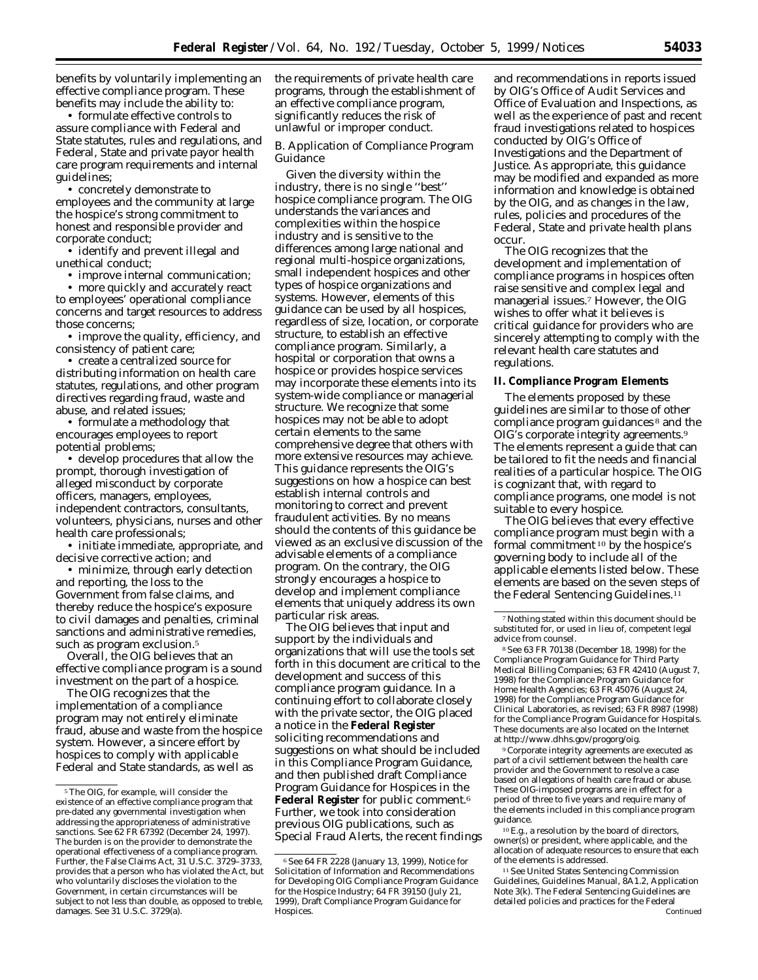benefits by voluntarily implementing an effective compliance program. These benefits may include the ability to:

• formulate effective controls to assure compliance with Federal and State statutes, rules and regulations, and Federal, State and private payor health care program requirements and internal guidelines;

• concretely demonstrate to employees and the community at large the hospice's strong commitment to honest and responsible provider and corporate conduct;

• identify and prevent illegal and unethical conduct;

• improve internal communication; • more quickly and accurately react to employees' operational compliance concerns and target resources to address those concerns;

• improve the quality, efficiency, and consistency of patient care;

• create a centralized source for distributing information on health care statutes, regulations, and other program directives regarding fraud, waste and abuse, and related issues;

• formulate a methodology that encourages employees to report potential problems;

• develop procedures that allow the prompt, thorough investigation of alleged misconduct by corporate officers, managers, employees, independent contractors, consultants, volunteers, physicians, nurses and other health care professionals;

• initiate immediate, appropriate, and decisive corrective action; and

• minimize, through early detection and reporting, the loss to the Government from false claims, and thereby reduce the hospice's exposure to civil damages and penalties, criminal sanctions and administrative remedies, such as program exclusion.<sup>5</sup>

Overall, the OIG believes that an effective compliance program is a sound investment on the part of a hospice.

The OIG recognizes that the implementation of a compliance program may not entirely eliminate fraud, abuse and waste from the hospice system. However, a sincere effort by hospices to comply with applicable Federal and State standards, as well as

the requirements of private health care programs, through the establishment of an effective compliance program, significantly reduces the risk of unlawful or improper conduct.

# *B. Application of Compliance Program Guidance*

Given the diversity within the industry, there is no single ''best'' hospice compliance program. The OIG understands the variances and complexities within the hospice industry and is sensitive to the differences among large national and regional multi-hospice organizations, small independent hospices and other types of hospice organizations and systems. However, elements of this guidance can be used by all hospices, regardless of size, location, or corporate structure, to establish an effective compliance program. Similarly, a hospital or corporation that owns a hospice or provides hospice services may incorporate these elements into its system-wide compliance or managerial structure. We recognize that some hospices may not be able to adopt certain elements to the same comprehensive degree that others with more extensive resources may achieve. This guidance represents the OIG's suggestions on how a hospice can best establish internal controls and monitoring to correct and prevent fraudulent activities. By no means should the contents of this guidance be viewed as an exclusive discussion of the advisable elements of a compliance program. On the contrary, the OIG strongly encourages a hospice to develop and implement compliance elements that uniquely address its own particular risk areas.

The OIG believes that input and support by the individuals and organizations that will use the tools set forth in this document are critical to the development and success of this compliance program guidance. In a continuing effort to collaborate closely with the private sector, the OIG placed a notice in the **Federal Register**  soliciting recommendations and suggestions on what should be included in this Compliance Program Guidance, and then published draft Compliance Program Guidance for Hospices in the **Federal Register** for public comment.6 Further, we took into consideration previous OIG publications, such as Special Fraud Alerts, the recent findings and recommendations in reports issued by OIG's Office of Audit Services and Office of Evaluation and Inspections, as well as the experience of past and recent fraud investigations related to hospices conducted by OIG's Office of Investigations and the Department of Justice. As appropriate, this guidance may be modified and expanded as more information and knowledge is obtained by the OIG, and as changes in the law, rules, policies and procedures of the Federal, State and private health plans occur.

The OIG recognizes that the development and implementation of compliance programs in hospices often raise sensitive and complex legal and managerial issues.7 However, the OIG wishes to offer what it believes is critical guidance for providers who are sincerely attempting to comply with the relevant health care statutes and regulations.

### **II. Compliance Program Elements**

The elements proposed by these guidelines are similar to those of other compliance program guidances 8 and the OIG's corporate integrity agreements.9 The elements represent a guide that can be tailored to fit the needs and financial realities of a particular hospice. The OIG is cognizant that, with regard to compliance programs, one model is not suitable to every hospice.

The OIG believes that every effective compliance program must begin with a formal commitment 10 by the hospice's governing body to include all of the applicable elements listed below. These elements are based on the seven steps of the Federal Sentencing Guidelines.11

8 *See* 63 FR 70138 (December 18, 1998) for the Compliance Program Guidance for Third Party Medical Billing Companies; 63 FR 42410 (August 7, 1998) for the Compliance Program Guidance for Home Health Agencies; 63 FR 45076 (August 24, 1998) for the Compliance Program Guidance for Clinical Laboratories, as revised; 63 FR 8987 (1998) for the Compliance Program Guidance for Hospitals. These documents are also located on the Internet at http://www.dhhs.gov/progorg/oig.

9 Corporate integrity agreements are executed as part of a civil settlement between the health care provider and the Government to resolve a case based on allegations of health care fraud or abuse. These OIG-imposed programs are in effect for a period of three to five years and require many of the elements included in this compliance program guidance.

 $^{10}E.g.,$  a resolution by the board of directors, owner(s) or president, where applicable, and the allocation of adequate resources to ensure that each of the elements is addressed.

11 *See* United States Sentencing Commission Guidelines, *Guidelines Manual,* 8A1.2, Application Note 3(k). The Federal Sentencing Guidelines are detailed policies and practices for the Federal Continued

 $^{\mathrm{s}}$  The OIG, for example, will consider the existence of an *effective* compliance program that pre-dated any governmental investigation when addressing the appropriateness of administrative sanctions. *See* 62 FR 67392 (December 24, 1997). The burden is on the provider to demonstrate the operational effectiveness of a compliance program. Further, the False Claims Act, 31 U.S.C. 3729-3733, provides that a person who has violated the Act, but who voluntarily discloses the violation to the Government, in certain circumstances will be subject to not less than double, as opposed to treble, damages. *See* 31 U.S.C. 3729(a).

<sup>6</sup> *See* 64 FR 2228 (January 13, 1999), Notice for Solicitation of Information and Recommendations for Developing OIG Compliance Program Guidance for the Hospice Industry; 64 FR 39150 (July 21, 1999), Draft Compliance Program Guidance for Hospices.

<sup>7</sup> Nothing stated within this document should be substituted for, or used in lieu of, competent legal advice from counsel.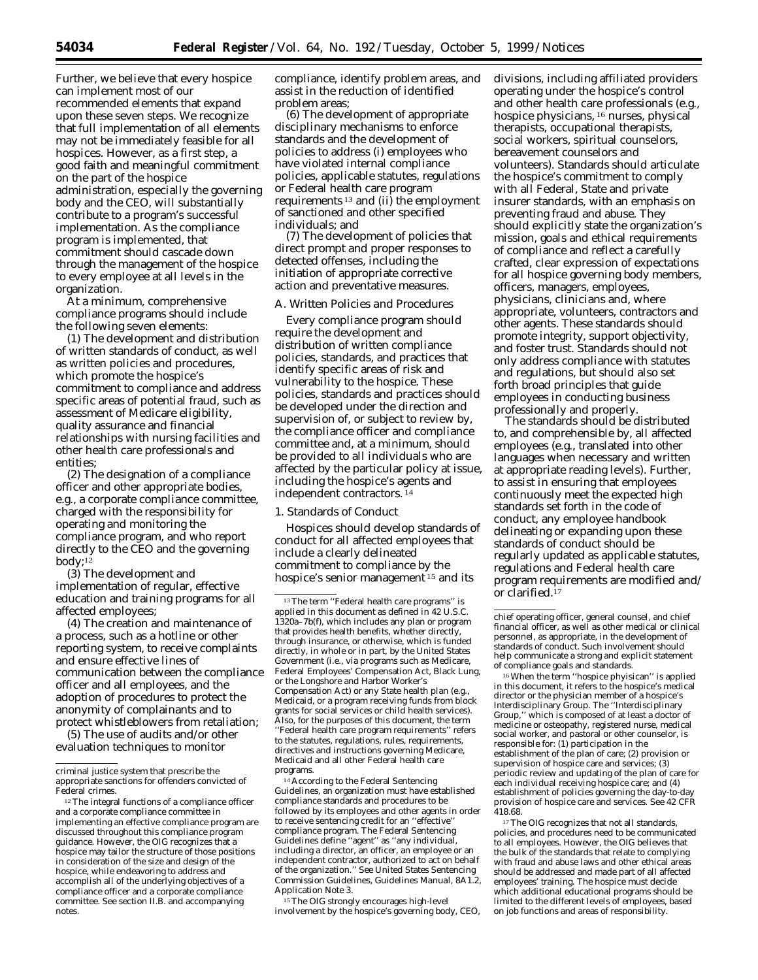Further, we believe that every hospice can implement most of our recommended elements that expand upon these seven steps. We recognize that full implementation of all elements may not be immediately feasible for all hospices. However, as a first step, a good faith and meaningful commitment on the part of the hospice administration, especially the governing body and the CEO, will substantially contribute to a program's successful implementation. As the compliance program is implemented, that commitment should cascade down through the management of the hospice to every employee at all levels in the organization.

At a minimum, comprehensive compliance programs should include the following seven elements:

(1) The development and distribution of written standards of conduct, as well as written policies and procedures, which promote the hospice's commitment to compliance and address specific areas of potential fraud, such as assessment of Medicare eligibility, quality assurance and financial relationships with nursing facilities and other health care professionals and entities;

(2) The designation of a compliance officer and other appropriate bodies, *e.g.,* a corporate compliance committee, charged with the responsibility for operating and monitoring the compliance program, and who report directly to the CEO and the governing body;12

(3) The development and implementation of regular, effective education and training programs for all affected employees;

(4) The creation and maintenance of a process, such as a hotline or other reporting system, to receive complaints and ensure effective lines of communication between the compliance officer and all employees, and the adoption of procedures to protect the anonymity of complainants and to protect whistleblowers from retaliation;

(5) The use of audits and/or other evaluation techniques to monitor

compliance, identify problem areas, and assist in the reduction of identified problem areas;

(6) The development of appropriate disciplinary mechanisms to enforce standards and the development of policies to address (i) employees who have violated internal compliance policies, applicable statutes, regulations or Federal health care program requirements 13 and (ii) the employment of sanctioned and other specified individuals; and

(7) The development of policies that direct prompt and proper responses to detected offenses, including the initiation of appropriate corrective action and preventative measures.

# *A. Written Policies and Procedures*

Every compliance program should require the development and distribution of written compliance policies, standards, and practices that identify specific areas of risk and vulnerability to the hospice. These policies, standards and practices should be developed under the direction and supervision of, or subject to review by, the compliance officer and compliance committee and, at a minimum, should be provided to all individuals who are affected by the particular policy at issue, including the hospice's agents and independent contractors. 14

1. Standards of Conduct

Hospices should develop standards of conduct for all affected employees that include a clearly delineated commitment to compliance by the hospice's senior management 15 and its

<sup>14</sup> According to the Federal Sentencing Guidelines, an organization must have established compliance standards and procedures to be followed by its employees and other agents in order to receive sentencing credit for an ''effective'' compliance program. The Federal Sentencing Guidelines define ''agent'' as ''any individual, including a director, an officer, an employee or an independent contractor, authorized to act on behalf of the organization.'' *See* United States Sentencing Commission Guidelines, *Guidelines Manual,* 8A1.2, Application Note 3.

15 The OIG strongly encourages high-level involvement by the hospice's governing body, CEO, divisions, including affiliated providers operating under the hospice's control and other health care professionals (*e.g.,*  hospice physicians, 16 nurses, physical therapists, occupational therapists, social workers, spiritual counselors, bereavement counselors and volunteers). Standards should articulate the hospice's commitment to comply with all Federal, State and private insurer standards, with an emphasis on preventing fraud and abuse. They should explicitly state the organization's mission, goals and ethical requirements of compliance and reflect a carefully crafted, clear expression of expectations for all hospice governing body members, officers, managers, employees, physicians, clinicians and, where appropriate, volunteers, contractors and other agents. These standards should promote integrity, support objectivity, and foster trust. Standards should not only address compliance with statutes and regulations, but should also set forth broad principles that guide employees in conducting business professionally and properly.

The standards should be distributed to, and comprehensible by, all affected employees (*e.g.*, translated into other languages when necessary and written at appropriate reading levels). Further, to assist in ensuring that employees continuously meet the expected high standards set forth in the code of conduct, any employee handbook delineating or expanding upon these standards of conduct should be regularly updated as applicable statutes, regulations and Federal health care program requirements are modified and/ or clarified.17

<sup>17</sup> The OIG recognizes that not all standards, policies, and procedures need to be communicated to all employees. However, the OIG believes that the bulk of the standards that relate to complying with fraud and abuse laws and other ethical areas should be addressed and made part of all affected employees' training. The hospice must decide which additional educational programs should be limited to the different levels of employees, based on job functions and areas of responsibility.

criminal justice system that prescribe the appropriate sanctions for offenders convicted of Federal crimes.

<sup>&</sup>lt;sup>12</sup> The integral functions of a compliance officer and a corporate compliance committee in implementing an effective compliance program are discussed throughout this compliance program guidance. However, the OIG recognizes that a hospice may tailor the structure of those positions in consideration of the size and design of the hospice, while endeavoring to address and accomplish all of the underlying objectives of a compliance officer and a corporate compliance committee. *See* section II.B. and accompanying notes.

<sup>&</sup>lt;sup>13</sup> The term "Federal health care programs" is applied in this document as defined in 42 U.S.C. 1320a–7b(f), which includes any plan or program that provides health benefits, whether directly, through insurance, or otherwise, which is funded directly, in whole or in part, by the United States Government (*i.e.*, via programs such as Medicare, Federal Employees' Compensation Act, Black Lung, or the Longshore and Harbor Worker's Compensation Act) or any State health plan (*e.g.*, Medicaid, or a program receiving funds from block grants for social services or child health services). Also, for the purposes of this document, the term ''Federal health care program requirements'' refers to the statutes, regulations, rules, requirements, directives and instructions governing Medicare, Medicaid and all other Federal health care programs.

chief operating officer, general counsel, and chief financial officer, as well as other medical or clinical personnel, as appropriate, in the development of standards of conduct. Such involvement should help communicate a strong and explicit statement of compliance goals and standards.

<sup>16</sup> When the term ''hospice phyisican'' is applied in this document, it refers to the hospice's medical director or the physician member of a hospice's Interdisciplinary Group. The ''Interdisciplinary Group,'' which is composed of at least a doctor of medicine or osteopathy, registered nurse, medical social worker, and pastoral or other counselor, is responsible for: (1) participation in the establishment of the plan of care; (2) provision or supervision of hospice care and services; (3) periodic review and updating of the plan of care for each individual receiving hospice care; and (4) establishment of policies governing the day-to-day provision of hospice care and services. *See* 42 CFR 418.68.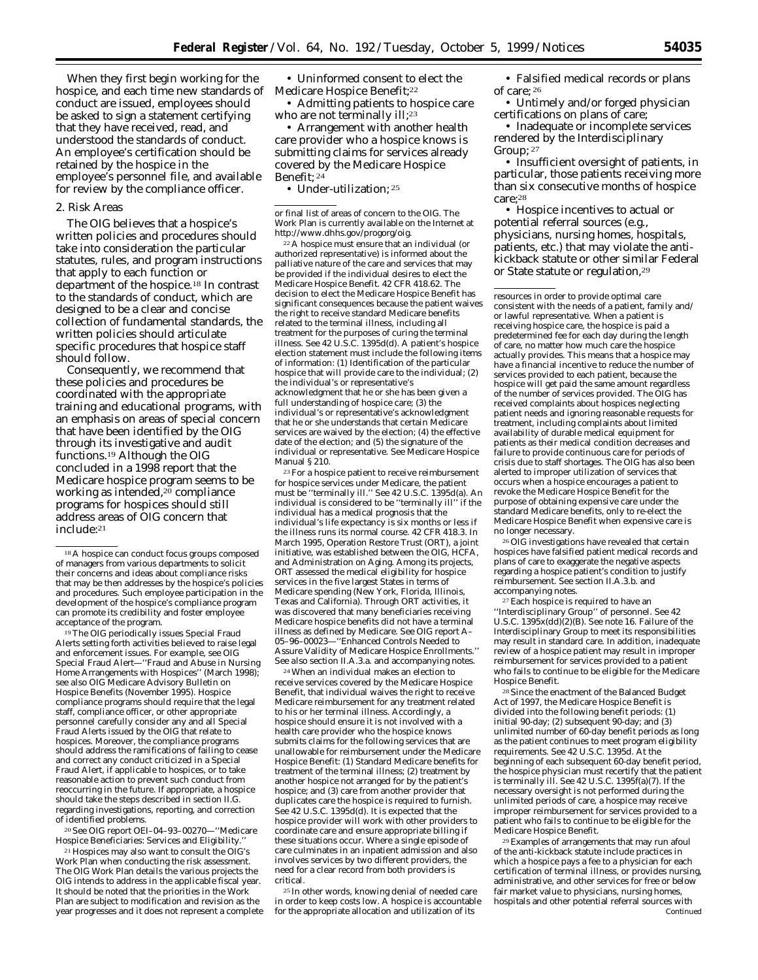When they first begin working for the hospice, and each time new standards of Medicare Hospice Benefit;<sup>22</sup> conduct are issued, employees should be asked to sign a statement certifying that they have received, read, and understood the standards of conduct. An employee's certification should be retained by the hospice in the employee's personnel file, and available for review by the compliance officer.

#### 2. Risk Areas

The OIG believes that a hospice's written policies and procedures should take into consideration the particular statutes, rules, and program instructions that apply to each function or department of the hospice.18 In contrast to the standards of conduct, which are designed to be a clear and concise collection of fundamental standards, the written policies should articulate specific procedures that hospice staff should follow.

Consequently, we recommend that these policies and procedures be coordinated with the appropriate training and educational programs, with an emphasis on areas of special concern that have been identified by the OIG through its investigative and audit functions.19 Although the OIG concluded in a 1998 report that the Medicare hospice program seems to be working as intended,20 compliance programs for hospices should still address areas of OIG concern that include:21

<sup>19</sup> The OIG periodically issues Special Fraud Alerts setting forth activities believed to raise legal and enforcement issues. For example, *see* OIG Special Fraud Alert—''Fraud and Abuse in Nursing Home Arrangements with Hospices'' (March 1998); *see also* OIG Medicare Advisory Bulletin on Hospice Benefits (November 1995). Hospice compliance programs should require that the legal staff, compliance officer, or other appropriate personnel carefully consider any and all Special Fraud Alerts issued by the OIG that relate to hospices. Moreover, the compliance programs should address the ramifications of failing to cease and correct any conduct criticized in a Special Fraud Alert, if applicable to hospices, or to take reasonable action to prevent such conduct from reoccurring in the future. If appropriate, a hospice should take the steps described in section II.G. regarding investigations, reporting, and correction of identified problems.

20 *See* OIG report OEI–04–93–00270—''Medicare Hospice Beneficiaries: Services and Eligibility.

21 Hospices may also want to consult the OIG's Work Plan when conducting the risk assessment. The OIG Work Plan details the various projects the OIG intends to address in the applicable fiscal year. It should be noted that the priorities in the Work Plan are subject to modification and revision as the year progresses and it does not represent a complete • Uninformed consent to elect the

• Admitting patients to hospice care who are not terminally ill;<sup>23</sup>

• Arrangement with another health care provider who a hospice knows is submitting claims for services already covered by the Medicare Hospice Benefit; 24

• Under-utilization; 25

or final list of areas of concern to the OIG. The Work Plan is currently available on the Internet at http://www.dhhs.gov/progorg/oig.

22 A hospice must ensure that an individual (or authorized representative) is informed about the palliative nature of the care and services that may be provided if the individual desires to elect the Medicare Hospice Benefit. 42 CFR 418.62. The decision to elect the Medicare Hospice Benefit has significant consequences because the patient waives the right to receive standard Medicare benefits related to the terminal illness, including all treatment for the purposes of curing the terminal illness. *See* 42 U.S.C. 1395d(d). A patient's hospice election statement must include the following items of information: (1) Identification of the particular hospice that will provide care to the individual: (2) the individual's or representative's acknowledgment that he or she has been given a full understanding of hospice care; (3) the individual's or representative's acknowledgment that he or she understands that certain Medicare services are waived by the election; (4) the effective date of the election; and (5) the signature of the individual or representative. See Medicare Hospice Manual § 210.

23 For a hospice patient to receive reimbursement for hospice services under Medicare, the patient must be ''terminally ill.'' *See* 42 U.S.C. 1395d(a). An individual is considered to be ''terminally ill'' if the individual has a medical prognosis that the individual's life expectancy is six months or less if the illness runs its normal course. 42 CFR 418.3. In March 1995, Operation Restore Trust (ORT), a joint initiative, was established between the OIG, HCFA, and Administration on Aging. Among its projects, ORT assessed the medical eligibility for hospice services in the five largest States in terms of Medicare spending (New York, Florida, Illinois, Texas and California). Through ORT activities, it was discovered that many beneficiaries receiving Medicare hospice benefits did not have a terminal illness as defined by Medicare. *See* OIG report A– 05–96–00023—''Enhanced Controls Needed to Assure Validity of Medicare Hospice Enrollments.'' *See also* section II.A.3.a. and accompanying notes.

24 When an individual makes an election to receive services covered by the Medicare Hospice Benefit, that individual waives the right to receive Medicare reimbursement for any treatment related to his or her terminal illness. Accordingly, a hospice should ensure it is not involved with a health care provider who the hospice knows submits claims for the following services that are unallowable for reimbursement under the Medicare Hospice Benefit: (1) Standard Medicare benefits for treatment of the terminal illness; (2) treatment by another hospice not arranged for by the patient's hospice; and (3) care from another provider that duplicates care the hospice is required to furnish. *See* 42 U.S.C. 1395d(d). It is expected that the hospice provider will work with other providers to coordinate care and ensure appropriate billing if these situations occur. Where a single episode of care culminates in an inpatient admission and also involves services by two different providers, the need for a clear record from both providers is critical.

25 In other words, knowing denial of needed care in order to keep costs low. A hospice is accountable for the appropriate allocation and utilization of its

• Falsified medical records or plans of care; 26

• Untimely and/or forged physician certifications on plans of care;

• Inadequate or incomplete services rendered by the Interdisciplinary Group; 27

• Insufficient oversight of patients, in particular, those patients receiving more than six consecutive months of hospice care;28

• Hospice incentives to actual or potential referral sources (*e.g.*, physicians, nursing homes, hospitals, patients, etc.) that may violate the antikickback statute or other similar Federal or State statute or regulation,29

resources in order to provide optimal care consistent with the needs of a patient, family and/ or lawful representative. When a patient is receiving hospice care, the hospice is paid a predetermined fee for each day during the length of care, no matter how much care the hospice actually provides. This means that a hospice may have a financial incentive to reduce the number of services provided to each patient, because the hospice will get paid the same amount regardless of the number of services provided. The OIG has received complaints about hospices neglecting patient needs and ignoring reasonable requests for treatment, including complaints about limited availability of durable medical equipment for patients as their medical condition decreases and failure to provide continuous care for periods of crisis due to staff shortages. The OIG has also been alerted to improper utilization of services that occurs when a hospice encourages a patient to revoke the Medicare Hospice Benefit for the purpose of obtaining expensive care under the standard Medicare benefits, only to re-elect the Medicare Hospice Benefit when expensive care is no longer necessary.

26 OIG investigations have revealed that certain hospices have falsified patient medical records and plans of care to exaggerate the negative aspects regarding a hospice patient's condition to justify reimbursement. *See* section II.A.3.b. and accompanying notes.

27 Each hospice is required to have an ''Interdisciplinary Group'' of personnel. *See* 42 U.S.C. 1395x(dd)(2)(B). *See* note 16. Failure of the Interdisciplinary Group to meet its responsibilities may result in standard care. In addition, inadequate review of a hospice patient may result in improper reimbursement for services provided to a patient who fails to continue to be eligible for the Medicare Hospice Benefit.

28 Since the enactment of the Balanced Budget Act of 1997, the Medicare Hospice Benefit is divided into the following benefit periods: (1) initial 90-day; (2) subsequent 90-day; and (3) unlimited number of 60-day benefit periods as long as the patient continues to meet program eligibility requirements. *See* 42 U.S.C. 1395d. At the beginning of each subsequent 60-day benefit period, the hospice physician must recertify that the patient is terminally ill. *See* 42 U.S.C. 1395f(a)(7). If the necessary oversight is not performed during the unlimited periods of care, a hospice may receive improper reimbursement for services provided to a patient who fails to continue to be eligible for the Medicare Hospice Benefit.

29 Examples of arrangements that may run afoul of the anti-kickback statute include practices in which a hospice pays a fee to a physician for each certification of terminal illness, or provides nursing, administrative, and other services for free or below fair market value to physicians, nursing homes, hospitals and other potential referral sources with Continued

<sup>18</sup> A hospice can conduct focus groups composed of managers from various departments to solicit their concerns and ideas about compliance risks that may be then addresses by the hospice's policies and procedures. Such employee participation in the development of the hospice's compliance program can promote its credibility and foster employee acceptance of the program.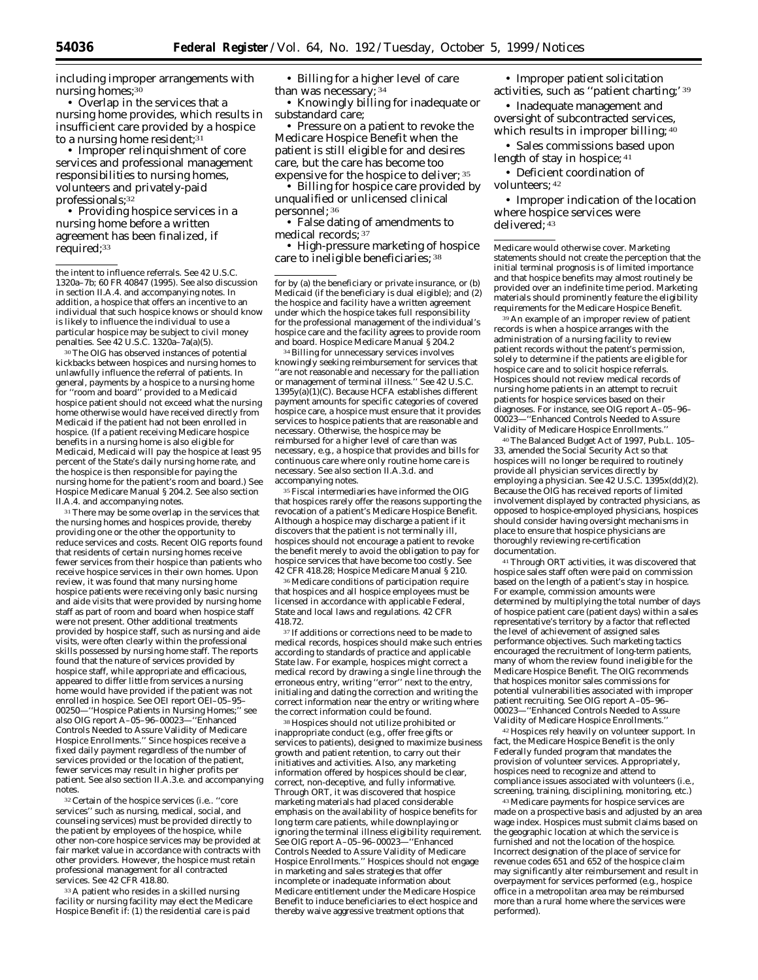including improper arrangements with nursing homes;<sup>30</sup>

• Overlap in the services that a nursing home provides, which results in insufficient care provided by a hospice to a nursing home resident;<sup>31</sup>

• Improper relinquishment of core services and professional management responsibilities to nursing homes, volunteers and privately-paid professionals;32

• Providing hospice services in a nursing home before a written agreement has been finalized, if required;<sup>33</sup>

the intent to influence referrals. *See* 42 U.S.C. 1320a–7b; 60 FR 40847 (1995). *See also* discussion in section II.A.4. and accompanying notes. In addition, a hospice that offers an incentive to an individual that such hospice knows or should know is likely to influence the individual to use a particular hospice may be subject to civil money penalties. *See* 42 U.S.C. 1320a–7a(a)(5).

30 The OIG has observed instances of potential kickbacks between hospices and nursing homes to unlawfully influence the referral of patients. In general, payments by a hospice to a nursing home for ''room and board'' provided to a Medicaid hospice patient should not exceed what the nursing home otherwise would have received directly from Medicaid if the patient had not been enrolled in hospice. (If a patient receiving Medicare hospice benefits in a nursing home is also eligible for Medicaid, Medicaid will pay the hospice at least 95 percent of the State's daily nursing home rate, and the hospice is then responsible for paying the nursing home for the patient's room and board.) See Hospice Medicare Manual § 204.2. *See also* section II.A.4. and accompanying notes.

<sup>31</sup> There may be some overlap in the services that the nursing homes and hospices provide, thereby providing one or the other the opportunity to reduce services and costs. Recent OIG reports found that residents of certain nursing homes receive fewer services from their hospice than patients who receive hospice services in their own homes. Upon review, it was found that many nursing home hospice patients were receiving only basic nursing and aide visits that were provided by nursing home staff as part of room and board when hospice staff were not present. Other additional treatments provided by hospice staff, such as nursing and aide visits, were often clearly within the professional skills possessed by nursing home staff. The reports found that the nature of services provided by hospice staff, while appropriate and efficacious, appeared to differ little from services a nursing home would have provided if the patient was not enrolled in hospice. *See* OEI report OEI–05–95– 00250—''Hospice Patients in Nursing Homes;'' *see also* OIG report A–05–96–00023—''Enhanced Controls Needed to Assure Validity of Medicare Hospice Enrollments.'' Since hospices receive a fixed daily payment regardless of the number of services provided or the location of the patient, fewer services may result in higher profits per patient. *See also* section II.A.3.e. and accompanying notes.

32 Certain of the hospice services (*i.e.*. ''core services'' such as nursing, medical, social, and counseling services) must be provided directly to the patient by employees of the hospice, while other non-core hospice services may be provided at fair market value in accordance with contracts with other providers. However, the hospice must retain professional management for all contracted services. *See* 42 CFR 418.80.

33 A patient who resides in a skilled nursing facility or nursing facility may elect the Medicare Hospice Benefit if: (1) the residential care is paid

• Billing for a higher level of care than was necessary; 34

• Knowingly billing for inadequate or substandard care;

• Pressure on a patient to revoke the Medicare Hospice Benefit when the patient is still eligible for and desires care, but the care has become too expensive for the hospice to deliver; 35

• Billing for hospice care provided by unqualified or unlicensed clinical personnel; 36

• False dating of amendments to medical records; 37

• High-pressure marketing of hospice care to ineligible beneficiaries; 38

for by (a) the beneficiary or private insurance, or (b) Medicaid (if the beneficiary is dual eligible); *and* (2) the hospice and facility have a written agreement under which the hospice takes full responsibility for the professional management of the individual's hospice care and the facility agrees to provide room and board. Hospice Medicare Manual § 204.2

34 Billing for unnecessary services involves knowingly seeking reimbursement for services that ''are not reasonable and necessary for the palliation or management of terminal illness.'' *See* 42 U.S.C.  $1395y(a)(1)(C)$ . Because HCFA establishes different payment amounts for specific categories of covered hospice care, a hospice must ensure that it provides services to hospice patients that are reasonable and necessary. Otherwise, the hospice may be reimbursed for a higher level of care than was necessary, *e.g.,* a hospice that provides and bills for continuous care where only routine home care is necessary. *See also* section II.A.3.d. and accompanying notes.

35 Fiscal intermediaries have informed the OIG that hospices rarely offer the reasons supporting the revocation of a patient's Medicare Hospice Benefit. Although a hospice may discharge a patient if it discovers that the patient is not terminally ill, hospices should not encourage a patient to revoke the benefit merely to avoid the obligation to pay for hospice services that have become too costly. *See*  42 CFR 418.28; Hospice Medicare Manual § 210.

36 Medicare conditions of participation require that hospices and all hospice employees must be licensed in accordance with applicable Federal, State and local laws and regulations. 42 CFR 418.72.

37 If additions or corrections need to be made to medical records, hospices should make such entries according to standards of practice and applicable State law. For example, hospices might correct a medical record by drawing a single line through the erroneous entry, writing ''error'' next to the entry, initialing and dating the correction and writing the correct information near the entry or writing where the correct information could be found.

38 Hospices should not utilize prohibited or inappropriate conduct (*e.g.,* offer free gifts or services to patients), designed to maximize business growth and patient retention, to carry out their initiatives and activities. Also, any marketing information offered by hospices should be clear, correct, non-deceptive, and fully informative. Through ORT, it was discovered that hospice marketing materials had placed considerable emphasis on the availability of hospice benefits for long term care patients, while downplaying or ignoring the terminal illness eligibility requirement. *See* OIG report A–05–96–00023—''Enhanced Controls Needed to Assure Validity of Medicare Hospice Enrollments.'' Hospices should not engage in marketing and sales strategies that offer incomplete or inadequate information about Medicare entitlement under the Medicare Hospice Benefit to induce beneficiaries to elect hospice and thereby waive aggressive treatment options that

• Improper patient solicitation activities, such as ''patient charting;' 39

• Inadequate management and oversight of subcontracted services, which results in improper billing; 40

• Sales commissions based upon length of stay in hospice; 41

• Deficient coordination of volunteers; 42

• Improper indication of the location where hospice services were delivered; 43

Medicare would otherwise cover. Marketing statements should not create the perception that the initial terminal prognosis is of limited importance and that hospice benefits may almost routinely be provided over an indefinite time period. Marketing materials should prominently feature the eligibility requirements for the Medicare Hospice Benefit.

39 An example of an improper review of patient records is when a hospice arranges with the administration of a nursing facility to review patient records without the patent's permission, solely to determine if the patients are eligible for hospice care and to solicit hospice referrals. Hospices should not review medical records of nursing home patients in an attempt to recruit patients for hospice services based on their diagnoses. For instance, *see* OIG report A–05–96– 00023—''Enhanced Controls Needed to Assure Validity of Medicare Hospice Enrollments.''

40 The Balanced Budget Act of 1997, Pub.L. 105– 33, amended the Social Security Act so that hospices will no longer be required to routinely provide all physician services directly by employing a physician. *See* 42 U.S.C. 1395x(dd)(2). Because the OIG has received reports of limited involvement displayed by contracted physicians, as opposed to hospice-employed physicians, hospices should consider having oversight mechanisms in place to ensure that hospice physicians are thoroughly reviewing re-certification documentation.

41 Through ORT activities, it was discovered that hospice sales staff often were paid on commission based on the length of a patient's stay in hospice. For example, commission amounts were determined by multiplying the total number of days of hospice patient care (patient days) within a sales representative's territory by a factor that reflected the level of achievement of assigned sales performance objectives. Such marketing tactics encouraged the recruitment of long-term patients, many of whom the review found ineligible for the Medicare Hospice Benefit. The OIG recommends that hospices monitor sales commissions for potential vulnerabilities associated with improper patient recruiting. *See* OIG report A–05–96– 00023—''Enhanced Controls Needed to Assure Validity of Medicare Hospice Enrollments.''

42 Hospices rely heavily on volunteer support. In fact, the Medicare Hospice Benefit is the only Federally funded program that mandates the provision of volunteer services. Appropriately, hospices need to recognize and attend to compliance issues associated with volunteers (*i.e.,*  screening, training, disciplining, monitoring, etc.)

43 Medicare payments for hospice services are made on a prospective basis and adjusted by an area wage index. Hospices must submit claims based on the geographic location at which the service is furnished and not the location of the hospice. Incorrect designation of the place of service for revenue codes 651 and 652 of the hospice claim may significantly alter reimbursement and result in overpayment for services performed (*e.g.,* hospice office in a metropolitan area may be reimbursed more than a rural home where the services were performed).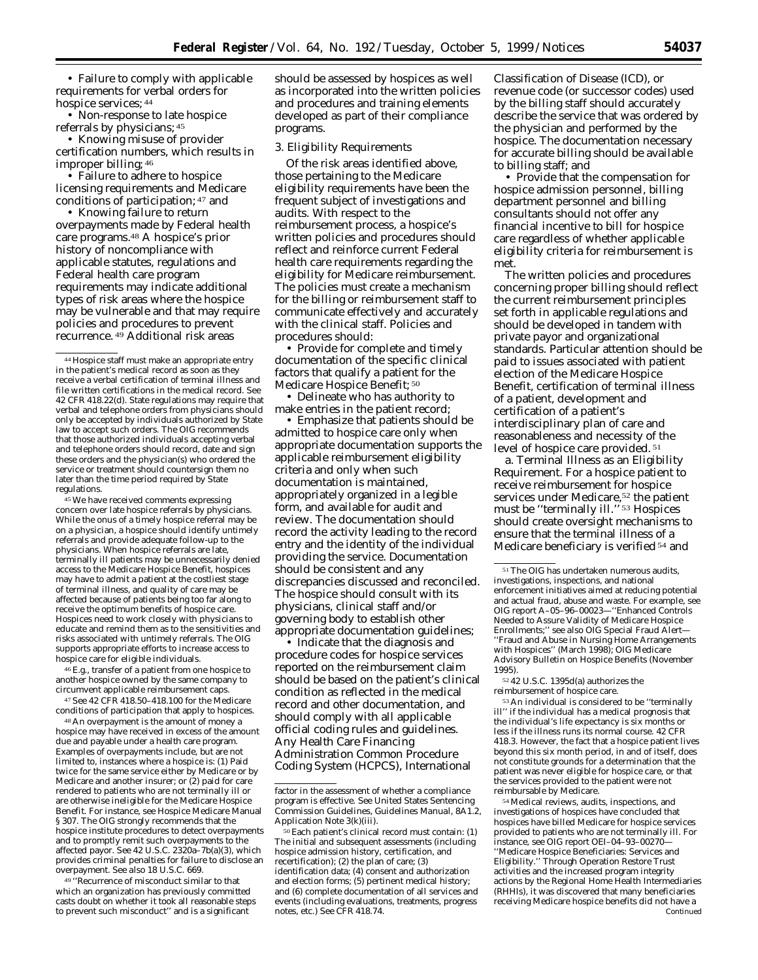• Failure to comply with applicable requirements for verbal orders for hospice services; 44

• Non-response to late hospice referrals by physicians; 45

• Knowing misuse of provider certification numbers, which results in improper billing; 46

• Failure to adhere to hospice licensing requirements and Medicare conditions of participation; 47 and

• Knowing failure to return overpayments made by Federal health care programs.48 A hospice's prior history of noncompliance with applicable statutes, regulations and Federal health care program requirements may indicate additional types of risk areas where the hospice may be vulnerable and that may require policies and procedures to prevent recurrence. 49 Additional risk areas

45 We have received comments expressing concern over late hospice referrals by physicians. While the onus of a timely hospice referral may be on a physician, a hospice should identify untimely referrals and provide adequate follow-up to the physicians. When hospice referrals are late, terminally ill patients may be unnecessarily denied access to the Medicare Hospice Benefit, hospices may have to admit a patient at the costliest stage of terminal illness, and quality of care may be affected because of patients being too far along to receive the optimum benefits of hospice care. Hospices need to work closely with physicians to educate and remind them as to the sensitivities and risks associated with untimely referrals. The OIG supports appropriate efforts to increase access to hospice care for eligible individuals.

46 *E.g.,* transfer of a patient from one hospice to another hospice owned by the same company to circumvent applicable reimbursement caps.

47 *See* 42 CFR 418.50–418.100 for the Medicare conditions of participation that apply to hospices.

48 An overpayment is the amount of money a hospice may have received in excess of the amount due and payable under a health care program. Examples of overpayments include, but are not limited to, instances where a hospice is: (1) Paid twice for the same service either by Medicare or by Medicare and another insurer; or (2) paid for care rendered to patients who are not terminally ill or are otherwise ineligible for the Medicare Hospice Benefit. For instance, *see* Hospice Medicare Manual § 307. The OIG strongly recommends that the hospice institute procedures to detect overpayments and to promptly remit such overpayments to the affected payor. *See* 42 U.S.C. 2320a–7b(a)(3), which provides criminal penalties for failure to disclose an overpayment. *See also* 18 U.S.C. 669.

49 ''Recurrence of misconduct similar to that which an organization has previously committed casts doubt on whether it took all reasonable steps to prevent such misconduct'' and is a significant

should be assessed by hospices as well as incorporated into the written policies and procedures and training elements developed as part of their compliance programs.

3. Eligibility Requirements

Of the risk areas identified above, those pertaining to the Medicare eligibility requirements have been the frequent subject of investigations and audits. With respect to the reimbursement process, a hospice's written policies and procedures should reflect and reinforce current Federal health care requirements regarding the eligibility for Medicare reimbursement. The policies must create a mechanism for the billing or reimbursement staff to communicate effectively and accurately with the clinical staff. Policies and procedures should:

• Provide for complete and timely documentation of the specific clinical factors that qualify a patient for the Medicare Hospice Benefit; <sup>50</sup>

• Delineate who has authority to make entries in the patient record;

• Emphasize that patients should be admitted to hospice care only when appropriate documentation supports the applicable reimbursement eligibility criteria and only when such documentation is maintained, appropriately organized in a legible form, and available for audit and review. The documentation should record the activity leading to the record entry and the identity of the individual providing the service. Documentation should be consistent and any discrepancies discussed and reconciled. The hospice should consult with its physicians, clinical staff and/or governing body to establish other appropriate documentation guidelines;

• Indicate that the diagnosis and procedure codes for hospice services reported on the reimbursement claim should be based on the patient's clinical condition as reflected in the medical record and other documentation, and should comply with all applicable official coding rules and guidelines. Any Health Care Financing Administration Common Procedure Coding System (HCPCS), International

Classification of Disease (ICD), or revenue code (or successor codes) used by the billing staff should accurately describe the service that was ordered by the physician and performed by the hospice. The documentation necessary for accurate billing should be available to billing staff; and

• Provide that the compensation for hospice admission personnel, billing department personnel and billing consultants should not offer any financial incentive to bill for hospice care regardless of whether applicable eligibility criteria for reimbursement is met.

The written policies and procedures concerning proper billing should reflect the current reimbursement principles set forth in applicable regulations and should be developed in tandem with private payor and organizational standards. Particular attention should be paid to issues associated with patient election of the Medicare Hospice Benefit, certification of terminal illness of a patient, development and certification of a patient's interdisciplinary plan of care and reasonableness and necessity of the level of hospice care provided. 51

a. Terminal Illness as an Eligibility Requirement. For a hospice patient to receive reimbursement for hospice services under Medicare,<sup>52</sup> the patient must be ''terminally ill.'' 53 Hospices should create oversight mechanisms to ensure that the terminal illness of a Medicare beneficiary is verified 54 and

53 An individual is considered to be ''terminally ill'' if the individual has a medical prognosis that the individual's life expectancy is six months or less if the illness runs its normal course. 42 CFR 418.3. However, the fact that a hospice patient lives beyond this six month period, in and of itself, does not constitute grounds for a determination that the patient was never eligible for hospice care, or that the services provided to the patient were not reimbursable by Medicare.

54 Medical reviews, audits, inspections, and investigations of hospices have concluded that hospices have billed Medicare for hospice services provided to patients who are not terminally ill. For instance, *see* OIG report OEI–04–93–00270— ''Medicare Hospice Beneficiaries: Services and Eligibility.'' Through Operation Restore Trust activities and the increased program integrity actions by the Regional Home Health Intermediaries (RHHIs), it was discovered that many beneficiaries receiving Medicare hospice benefits did not have a Continued

<sup>44</sup> Hospice staff must make an appropriate entry in the patient's medical record as soon as they receive a verbal certification of terminal illness and file written certifications in the medical record. *See*  42 CFR 418.22(d). State regulations may require that verbal and telephone orders from physicians should only be accepted by individuals authorized by State law to accept such orders. The OIG recommends that those authorized individuals accepting verbal and telephone orders should record, date and sign these orders and the physician(s) who ordered the service or treatment should countersign them no later than the time period required by State regulations.

factor in the assessment of whether a compliance program is effective. See United States Sentencing Commission Guidelines, *Guidelines Manual,* 8A1.2, Application Note 3(k)(iii).

<sup>50</sup> Each patient's clinical record must contain: (1) The initial and subsequent assessments (including hospice admission history, certification, and recertification); (2) the plan of care; (3) identification data; (4) consent and authorization and election forms; (5) pertinent medical history; and (6) complete documentation of all services and events (including evaluations, treatments, progress notes, etc.) *See* CFR 418.74.

<sup>51</sup> The OIG has undertaken numerous audits, investigations, inspections, and national enforcement initiatives aimed at reducing potential and actual fraud, abuse and waste. For example, *see*  OIG report A–05–96–00023—''Enhanced Controls Needed to Assure Validity of Medicare Hospice Enrollments;" see also OIG Special Fraud Alert-''Fraud and Abuse in Nursing Home Arrangements with Hospices'' (March 1998); OIG Medicare Advisory Bulletin on Hospice Benefits (November 1995).

<sup>52</sup> 42 U.S.C. 1395d(a) authorizes the reimbursement of hospice care.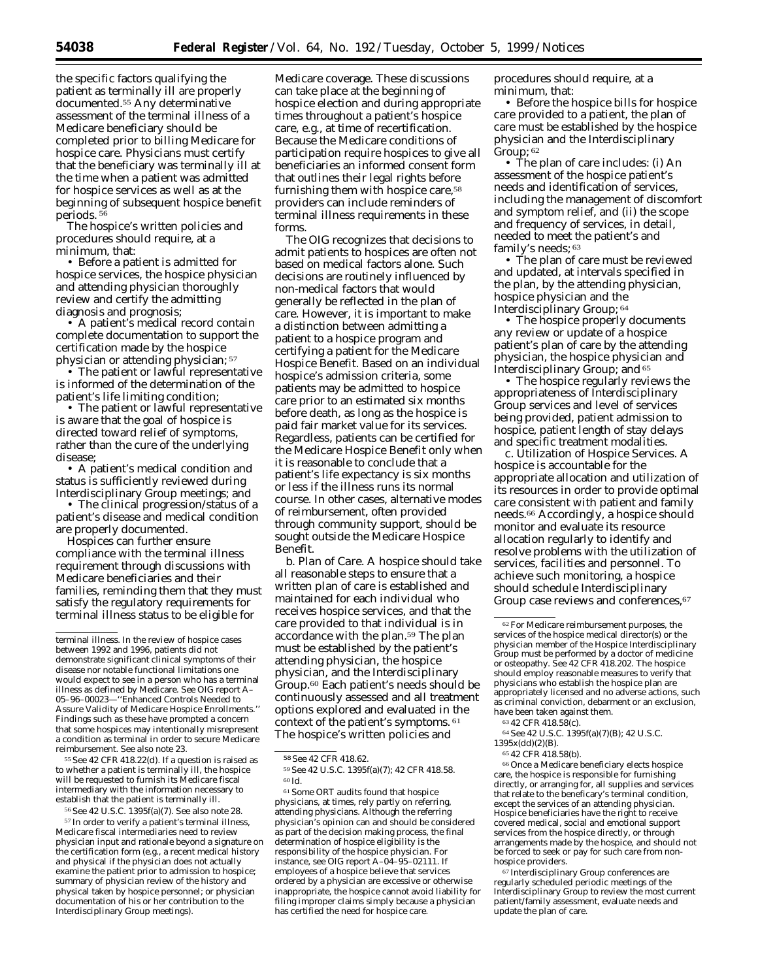the specific factors qualifying the patient as terminally ill are properly documented.55 Any determinative assessment of the terminal illness of a Medicare beneficiary should be completed prior to billing Medicare for hospice care. Physicians must certify that the beneficiary was terminally ill at the time when a patient was admitted for hospice services as well as at the beginning of subsequent hospice benefit periods. 56

The hospice's written policies and procedures should require, at a minimum, that:

• Before a patient is admitted for hospice services, the hospice physician and attending physician thoroughly review and certify the admitting diagnosis and prognosis;

• A patient's medical record contain complete documentation to support the certification made by the hospice physician or attending physician; 57

• The patient or lawful representative is informed of the determination of the patient's life limiting condition;

• The patient or lawful representative is aware that the goal of hospice is directed toward relief of symptoms, rather than the cure of the underlying disease;

• A patient's medical condition and status is sufficiently reviewed during Interdisciplinary Group meetings; and

• The clinical progression/status of a patient's disease and medical condition are properly documented.

Hospices can further ensure compliance with the terminal illness requirement through discussions with Medicare beneficiaries and their families, reminding them that they must satisfy the regulatory requirements for terminal illness status to be eligible for

55 *See* 42 CFR 418.22(d). If a question is raised as to whether a patient is terminally ill, the hospice will be requested to furnish its Medicare fiscal intermediary with the information necessary to establish that the patient is terminally ill.

56 *See* 42 U.S.C. 1395f(a)(7). *See also* note 28.

57 In order to verify a patient's terminal illness, Medicare fiscal intermediaries need to review physician input and rationale beyond a signature on the certification form (*e.g.,* a recent medical history and physical if the physician does not actually examine the patient prior to admission to hospice; summary of physician review of the history and physical taken by hospice personnel; or physician documentation of his or her contribution to the Interdisciplinary Group meetings).

Medicare coverage. These discussions can take place at the beginning of hospice election and during appropriate times throughout a patient's hospice care, *e.g.,* at time of recertification. Because the Medicare conditions of participation require hospices to give all beneficiaries an informed consent form that outlines their legal rights before furnishing them with hospice care,<sup>58</sup> providers can include reminders of terminal illness requirements in these forms.

The OIG recognizes that decisions to admit patients to hospices are often not based on medical factors alone. Such decisions are routinely influenced by non-medical factors that would generally be reflected in the plan of care. However, it is important to make a distinction between admitting a patient to a hospice program and certifying a patient for the Medicare Hospice Benefit. Based on an individual hospice's admission criteria, some patients may be admitted to hospice care prior to an estimated six months before death, as long as the hospice is paid fair market value for its services. Regardless, patients can be certified for the Medicare Hospice Benefit *only* when it is reasonable to conclude that a patient's life expectancy is six months or less if the illness runs its normal course. In other cases, alternative modes of reimbursement, often provided through community support, should be sought outside the Medicare Hospice Benefit.

*b. Plan of Care.* A hospice should take all reasonable steps to ensure that a written plan of care is established and maintained for each individual who receives hospice services, and that the care provided to that individual is in accordance with the plan.<sup>59</sup> The plan must be established by the patient's attending physician, the hospice physician, and the Interdisciplinary Group.60 Each patient's needs should be continuously assessed and all treatment options explored and evaluated in the context of the patient's symptoms. 61 The hospice's written policies and

61 Some ORT audits found that hospice physicians, at times, rely partly on referring, attending physicians. Although the referring physician's opinion can and should be considered as part of the decision making process, the final determination of hospice eligibility is the responsibility of the hospice physician. For instance, *see* OIG report A–04–95–02111. If employees of a hospice believe that services ordered by a physician are excessive or otherwise inappropriate, the hospice cannot avoid liability for filing improper claims simply because a physician has certified the need for hospice care.

procedures should require, at a minimum, that:

• Before the hospice bills for hospice care provided to a patient, the plan of care must be established by the hospice physician and the Interdisciplinary Group; 62

• The plan of care includes: (i) An assessment of the hospice patient's needs and identification of services, including the management of discomfort and symptom relief, and (ii) the scope and frequency of services, in detail, needed to meet the patient's and family's needs; 63

• The plan of care must be reviewed and updated, at intervals specified in the plan, by the attending physician, hospice physician and the Interdisciplinary Group; 64

• The hospice properly documents any review or update of a hospice patient's plan of care by the attending physician, the hospice physician and Interdisciplinary Group; and 65

• The hospice regularly reviews the appropriateness of Interdisciplinary Group services and level of services being provided, patient admission to hospice, patient length of stay delays and specific treatment modalities.

*c. Utilization of Hospice Services.* A hospice is accountable for the appropriate allocation and utilization of its resources in order to provide optimal care consistent with patient and family needs.66 Accordingly, a hospice should monitor and evaluate its resource allocation regularly to identify and resolve problems with the utilization of services, facilities and personnel. To achieve such monitoring, a hospice should schedule Interdisciplinary Group case reviews and conferences, 67

64 *See* 42 U.S.C. 1395f(a)(7)(B); 42 U.S.C. 1395x(dd)(2)(B).

66 Once a Medicare beneficiary elects hospice care, the hospice is responsible for furnishing directly, or arranging for, all supplies and services that relate to the beneficary's terminal condition, except the services of an attending physician. Hospice beneficiaries have the right to receive covered medical, social and emotional support services from the hospice directly, or through arrangements made by the hospice, and should not be forced to seek or pay for such care from nonhospice providers.

67 Interdisciplinary Group conferences are regularly scheduled periodic meetings of the Interdisciplinary Group to review the most current patient/family assessment, evaluate needs and update the plan of care.

terminal illness. In the review of hospice cases between 1992 and 1996, patients did not demonstrate significant clinical symptoms of their disease nor notable functional limitations one would expect to see in a person who has a terminal illness as defined by Medicare. See OIG report A– 05–96–00023—''Enhanced Controls Needed to Assure Validity of Medicare Hospice Enrollments.'' Findings such as these have prompted a concern that some hospices may intentionally misrepresent a condition as terminal in order to secure Medicare reimbursement. *See also* note 23.

<sup>58</sup> *See* 42 CFR 418.62.

<sup>59</sup> *See* 42 U.S.C. 1395f(a)(7); 42 CFR 418.58. 60 *Id.* 

<sup>62</sup> For Medicare reimbursement purposes, the services of the hospice medical director(s) or the physician member of the Hospice Interdisciplinary Group must be performed by a doctor of medicine or osteopathy. *See* 42 CFR 418.202. The hospice should employ reasonable measures to verify that physicians who establish the hospice plan are appropriately licensed and no adverse actions, such as criminal conviction, debarment or an exclusion, have been taken against them.

<sup>63</sup> 42 CFR 418.58(c).

<sup>65</sup> 42 CFR 418.58(b).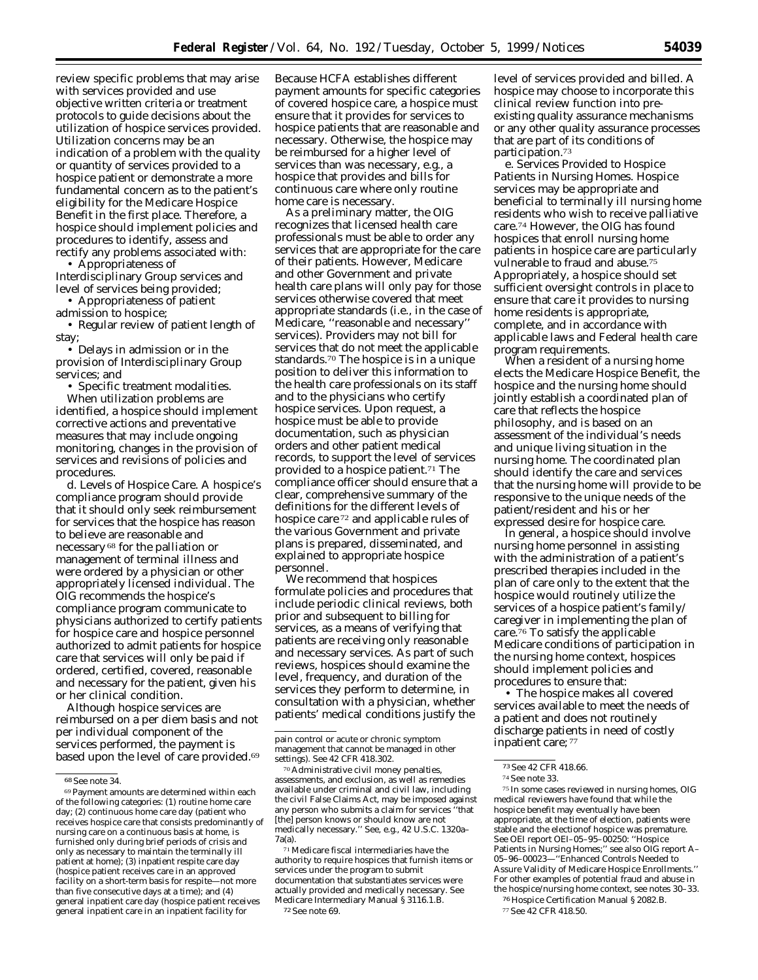review specific problems that may arise with services provided and use objective written criteria or treatment protocols to guide decisions about the utilization of hospice services provided. Utilization concerns may be an indication of a problem with the quality or quantity of services provided to a hospice patient or demonstrate a more fundamental concern as to the patient's eligibility for the Medicare Hospice Benefit in the first place. Therefore, a hospice should implement policies and procedures to identify, assess and rectify any problems associated with:

• Appropriateness of Interdisciplinary Group services and level of services being provided;

• Appropriateness of patient

admission to hospice;

• Regular review of patient length of stay;

• Delays in admission or in the provision of Interdisciplinary Group services; and

• Specific treatment modalities.

When utilization problems are identified, a hospice should implement corrective actions and preventative measures that may include ongoing monitoring, changes in the provision of services and revisions of policies and procedures.

*d. Levels of Hospice Care.* A hospice's compliance program should provide that it should only seek reimbursement for services that the hospice has reason to believe are reasonable and necessary 68 for the palliation or management of terminal illness and were ordered by a physician or other appropriately licensed individual. The OIG recommends the hospice's compliance program communicate to physicians authorized to certify patients for hospice care and hospice personnel authorized to admit patients for hospice care that services will only be paid if ordered, certified, covered, reasonable and necessary for the patient, given his or her clinical condition.

Although hospice services are reimbursed on a per diem basis and not per individual component of the services performed, the payment is based upon the level of care provided.69

Because HCFA establishes different payment amounts for specific categories of covered hospice care, a hospice must ensure that it provides for services to hospice patients that are reasonable and necessary. Otherwise, the hospice may be reimbursed for a higher level of services than was necessary, *e.g.,* a hospice that provides and bills for continuous care where only routine home care is necessary.

As a preliminary matter, the OIG recognizes that licensed health care professionals must be able to order any services that are appropriate for the care of their patients. However, Medicare and other Government and private health care plans will only pay for those services otherwise covered that meet appropriate standards (*i.e.,* in the case of Medicare, ''reasonable and necessary'' services). Providers may not bill for services that do not meet the applicable standards.70 The hospice is in a unique position to deliver this information to the health care professionals on its staff and to the physicians who certify hospice services. Upon request, a hospice must be able to provide documentation, such as physician orders and other patient medical records, to support the level of services provided to a hospice patient.<sup>71</sup> The compliance officer should ensure that a clear, comprehensive summary of the definitions for the different levels of hospice care 72 and applicable rules of the various Government and private plans is prepared, disseminated, and explained to appropriate hospice personnel.

We recommend that hospices formulate policies and procedures that include periodic clinical reviews, both prior and subsequent to billing for services, as a means of verifying that patients are receiving only reasonable and necessary services. As part of such reviews, hospices should examine the level, frequency, and duration of the services they perform to determine, in consultation with a physician, whether patients' medical conditions justify the

level of services provided and billed. A hospice may choose to incorporate this clinical review function into preexisting quality assurance mechanisms or any other quality assurance processes that are part of its conditions of participation.73

*e. Services Provided to Hospice Patients in Nursing Homes.* Hospice services may be appropriate and beneficial to terminally ill nursing home residents who wish to receive palliative care.74 However, the OIG has found hospices that enroll nursing home patients in hospice care are particularly vulnerable to fraud and abuse.75 Appropriately, a hospice should set sufficient oversight controls in place to ensure that care it provides to nursing home residents is appropriate, complete, and in accordance with applicable laws and Federal health care program requirements.

When a resident of a nursing home elects the Medicare Hospice Benefit, the hospice and the nursing home should jointly establish a coordinated plan of care that reflects the hospice philosophy, and is based on an assessment of the individual's needs and unique living situation in the nursing home. The coordinated plan should identify the care and services that the nursing home will provide to be responsive to the unique needs of the patient/resident and his or her expressed desire for hospice care.

In general, a hospice should involve nursing home personnel in assisting with the administration of a patient's prescribed therapies included in the plan of care only to the extent that the hospice would routinely utilize the services of a hospice patient's family/ caregiver in implementing the plan of care.76 To satisfy the applicable Medicare conditions of participation in the nursing home context, hospices should implement policies and procedures to ensure that:

• The hospice makes all covered services available to meet the needs of a patient and does not routinely discharge patients in need of costly inpatient care; 77

75 In some cases reviewed in nursing homes, OIG medical reviewers have found that while the hospice benefit may eventually have been appropriate, at the time of election, patients were stable and the electionof hospice was premature. *See* OEI report OEI–05–95–00250: ''Hospice Patients in Nursing Homes;" see also OIG report A-05–96–00023—''Enhanced Controls Needed to Assure Validity of Medicare Hospice Enrollments.'' For other examples of potential fraud and abuse in the hospice/nursing home context, *see* notes 30–33.

<sup>68</sup> *See* note 34.

<sup>69</sup> Payment amounts are determined within each of the following categories: (1) routine home care day; (2) continuous home care day (patient who receives hospice care that consists predominantly of nursing care on a continuous basis at home, is furnished only during brief periods of crisis and only as necessary to maintain the terminally ill patient at home); (3) inpatient respite care day (hospice patient receives care in an approved facility on a short-term basis for respite—not more than five consecutive days at a time); and (4) general inpatient care day (hospice patient receives general inpatient care in an inpatient facility for

pain control or acute or chronic symptom management that cannot be managed in other settings). *See* 42 CFR 418.302.

<sup>70</sup> Administrative civil money penalties, assessments, and exclusion, as well as remedies available under criminal and civil law, including the civil False Claims Act, may be imposed against any person who submits a claim for services ''that [the] person knows or should know are not medically necessary.'' *See, e.g.,* 42 U.S.C. 1320a– 7a(a).

<sup>71</sup> Medicare fiscal intermediaries have the authority to require hospices that furnish items or services under the program to submit documentation that substantiates services were actually provided and medically necessary. *See*  Medicare Intermediary Manual § 3116.1.B. 72 *See* note 69.

<sup>73</sup> *See* 42 CFR 418.66.

<sup>74</sup> *See* note 33.

<sup>76</sup> Hospice Certification Manual § 2082.B.

<sup>77</sup> *See* 42 CFR 418.50.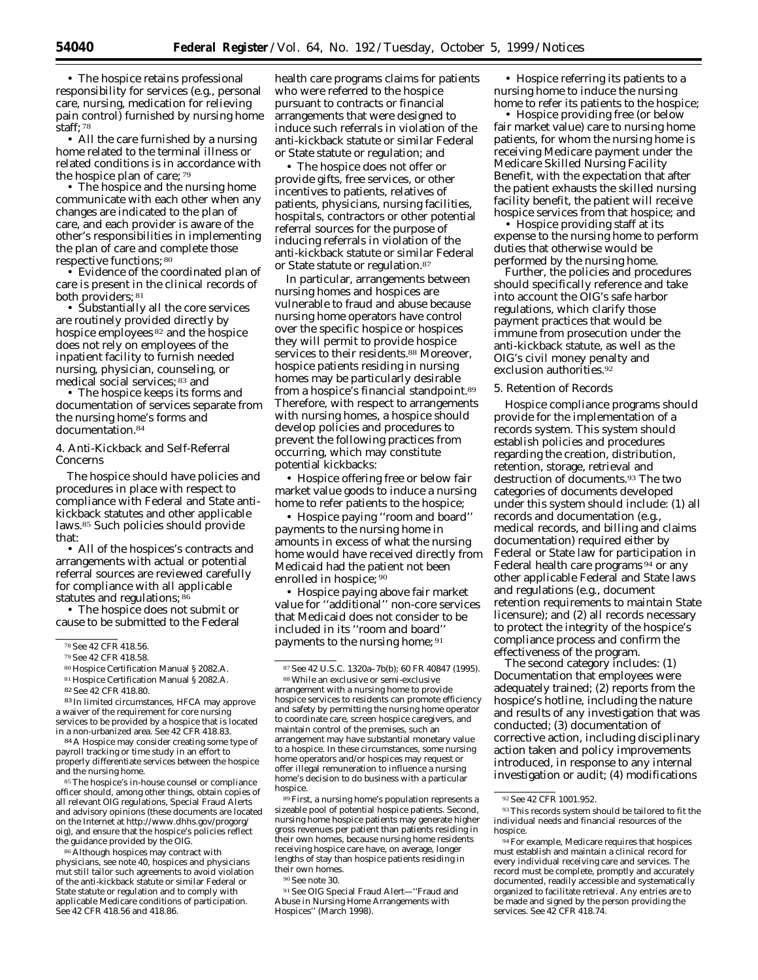• The hospice retains professional responsibility for services (e.g., personal care, nursing, medication for relieving pain control) furnished by nursing home staff; 78

• All the care furnished by a nursing home related to the terminal illness or related conditions is in accordance with the hospice plan of care; 79

• The hospice and the nursing home communicate with each other when any changes are indicated to the plan of care, and each provider is aware of the other's responsibilities in implementing the plan of care and complete those respective functions; 80

• Evidence of the coordinated plan of care is present in the clinical records of both providers; 81

• Substantially all the core services are routinely provided directly by hospice employees 82 and the hospice does not rely on employees of the inpatient facility to furnish needed nursing, physician, counseling, or medical social services; 83 and

• The hospice keeps its forms and documentation of services separate from the nursing home's forms and documentation.84

# 4. Anti-Kickback and Self-Referral Concerns

The hospice should have policies and procedures in place with respect to compliance with Federal and State antikickback statutes and other applicable laws.85 Such policies should provide that:

• All of the hospices's contracts and arrangements with actual or potential referral sources are reviewed carefully for compliance with all applicable statutes and regulations; 86

• The hospice does not submit or cause to be submitted to the Federal

- 80 Hospice Certification Manual § 2082.A.
- 81 Hospice Certification Manual § 2082.A.

83 In limited circumstances, HFCA may approve a waiver of the requirement for core nursing services to be provided by a hospice that is located in a non-urbanized area. *See* 42 CFR 418.83.

84 A Hospice may consider creating some type of payroll tracking or time study in an effort to properly differentiate services between the hospice and the nursing home.

85 The hospice's in-house counsel or compliance officer should, among other things, obtain copies of all relevant OIG regulations, Special Fraud Alerts and advisory opinions (these documents are located on the Internet at http://www.dhhs.gov/progorg/ oig), and ensure that the hospice's policies reflect the guidance provided by the OIG.

86 Although hospices may contract with physicians, *see* note 40, hospices and physicians mut still tailor such agreements to avoid violation of the anti-kickback statute or similar Federal or State statute or regulation and to comply with applicable Medicare conditions of participation. *See* 42 CFR 418.56 and 418.86.

health care programs claims for patients who were referred to the hospice pursuant to contracts or financial arrangements that were designed to induce such referrals in violation of the anti-kickback statute or similar Federal or State statute or regulation; and

• The hospice does not offer or provide gifts, free services, or other incentives to patients, relatives of patients, physicians, nursing facilities, hospitals, contractors or other potential referral sources for the purpose of inducing referrals in violation of the anti-kickback statute or similar Federal or State statute or regulation.87

In particular, arrangements between nursing homes and hospices are vulnerable to fraud and abuse because nursing home operators have control over the specific hospice or hospices they will permit to provide hospice services to their residents.<sup>88</sup> Moreover, hospice patients residing in nursing homes may be particularly desirable from a hospice's financial standpoint.89 Therefore, with respect to arrangements with nursing homes, a hospice should develop policies and procedures to prevent the following practices from occurring, which may constitute potential kickbacks:

• Hospice offering free or below fair market value goods to induce a nursing home to refer patients to the hospice;

• Hospice paying ''room and board'' payments to the nursing home in amounts in excess of what the nursing home would have received directly from Medicaid had the patient not been enrolled in hospice; 90

• Hospice paying above fair market value for ''additional'' non-core services that Medicaid does not consider to be included in its ''room and board'' payments to the nursing home; 91

89 First, a nursing home's population represents a sizeable pool of potential hospice patients. Second, nursing home hospice patients may generate higher gross revenues per patient than patients residing in their own homes, because nursing home residents receiving hospice care have, on average, longer lengths of stay than hospice patients residing in their own homes.

90 *See* note 30.

91 *See* OIG Special Fraud Alert—''Fraud and Abuse in Nursing Home Arrangements with Hospices'' (March 1998).

• Hospice referring its patients to a nursing home to induce the nursing home to refer its patients to the hospice;

• Hospice providing free (or below fair market value) care to nursing home patients, for whom the nursing home is receiving Medicare payment under the Medicare Skilled Nursing Facility Benefit, with the expectation that after the patient exhausts the skilled nursing facility benefit, the patient will receive hospice services from that hospice; and

• Hospice providing staff at its expense to the nursing home to perform duties that otherwise would be performed by the nursing home.

Further, the policies and procedures should specifically reference and take into account the OIG's safe harbor regulations, which clarify those payment practices that would be immune from prosecution under the anti-kickback statute, as well as the OIG's civil money penalty and exclusion authorities.92

#### 5. Retention of Records

Hospice compliance programs should provide for the implementation of a records system. This system should establish policies and procedures regarding the creation, distribution, retention, storage, retrieval and destruction of documents.93 The two categories of documents developed under this system should include: (1) all records and documentation (*e.g.,*  medical records, and billing and claims documentation) required either by Federal or State law for participation in Federal health care programs 94 or any other applicable Federal and State laws and regulations (*e.g.*, document retention requirements to maintain State licensure); and (2) all records necessary to protect the integrity of the hospice's compliance process and confirm the effectiveness of the program.

The second category includes: (1) Documentation that employees were adequately trained; (2) reports from the hospice's hotline, including the nature and results of any investigation that was conducted; (3) documentation of corrective action, including disciplinary action taken and policy improvements introduced, in response to any internal investigation or audit; (4) modifications

<sup>78</sup> *See* 42 CFR 418.56.

<sup>79</sup> *See* 42 CFR 418.58.

<sup>82</sup> *See* 42 CFR 418.80.

<sup>87</sup> *See* 42 U.S.C. 1320a–7b(b); 60 FR 40847 (1995).

<sup>88</sup> While an exclusive or semi-exclusive arrangement with a nursing home to provide hospice services to residents can promote efficiency and safety by permitting the nursing home operator to coordinate care, screen hospice caregivers, and maintain control of the premises, such an arrangement may have substantial monetary value to a hospice. In these circumstances, some nursing home operators and/or hospices may request or offer illegal remuneration to influence a nursing home's decision to do business with a particular hospice.

<sup>92</sup> *See* 42 CFR 1001.952.

<sup>93</sup> This records system should be tailored to fit the individual needs and financial resources of the hospice.

<sup>94</sup> For example, Medicare requires that hospices must establish and maintain a clinical record for every individual receiving care and services. The record must be complete, promptly and accurately documented, readily accessible and systematically organized to facilitate retrieval. Any entries are to be made and signed by the person providing the services. *See* 42 CFR 418.74.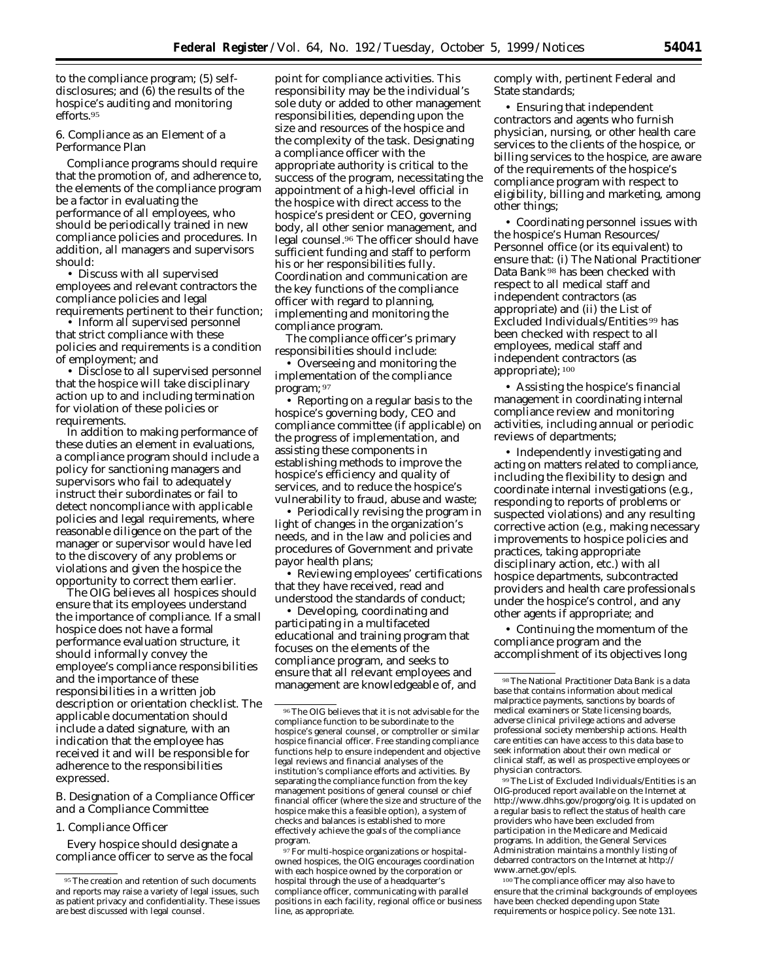to the compliance program; (5) selfdisclosures; and (6) the results of the hospice's auditing and monitoring efforts.95

6. Compliance as an Element of a Performance Plan

Compliance programs should require that the promotion of, and adherence to, the elements of the compliance program be a factor in evaluating the performance of all employees, who should be periodically trained in new compliance policies and procedures. In addition, all managers and supervisors should:

• Discuss with all supervised employees and relevant contractors the compliance policies and legal requirements pertinent to their function;

• Inform all supervised personnel that strict compliance with these policies and requirements is a condition of employment; and

• Disclose to all supervised personnel that the hospice will take disciplinary action up to and including termination for violation of these policies or requirements.

In addition to making performance of these duties an element in evaluations, a compliance program should include a policy for sanctioning managers and supervisors who fail to adequately instruct their subordinates or fail to detect noncompliance with applicable policies and legal requirements, where reasonable diligence on the part of the manager or supervisor would have led to the discovery of any problems or violations and given the hospice the opportunity to correct them earlier.

The OIG believes all hospices should ensure that its employees understand the importance of compliance. If a small hospice does not have a formal performance evaluation structure, it should informally convey the employee's compliance responsibilities and the importance of these responsibilities in a written job description or orientation checklist. The applicable documentation should include a dated signature, with an indication that the employee has received it and will be responsible for adherence to the responsibilities expressed.

# *B. Designation of a Compliance Officer and a Compliance Committee*

#### 1. Compliance Officer

Every hospice should designate a compliance officer to serve as the focal

point for compliance activities. This responsibility may be the individual's sole duty or added to other management responsibilities, depending upon the size and resources of the hospice and the complexity of the task. Designating a compliance officer with the appropriate authority is critical to the success of the program, necessitating the appointment of a high-level official in the hospice with direct access to the hospice's president or CEO, governing body, all other senior management, and legal counsel.96 The officer should have sufficient funding and staff to perform his or her responsibilities fully. Coordination and communication are the key functions of the compliance officer with regard to planning, implementing and monitoring the compliance program.

The compliance officer's primary responsibilities should include:

• Overseeing and monitoring the implementation of the compliance program; 97

• Reporting on a regular basis to the hospice's governing body, CEO and compliance committee (if applicable) on the progress of implementation, and assisting these components in establishing methods to improve the hospice's efficiency and quality of services, and to reduce the hospice's vulnerability to fraud, abuse and waste;

• Periodically revising the program in light of changes in the organization's needs, and in the law and policies and procedures of Government and private payor health plans;

• Reviewing employees' certifications that they have received, read and understood the standards of conduct;

• Developing, coordinating and participating in a multifaceted educational and training program that focuses on the elements of the compliance program, and seeks to ensure that all relevant employees and management are knowledgeable of, and comply with, pertinent Federal and State standards;

• Ensuring that independent contractors and agents who furnish physician, nursing, or other health care services to the clients of the hospice, or billing services to the hospice, are aware of the requirements of the hospice's compliance program with respect to eligibility, billing and marketing, among other things;

• Coordinating personnel issues with the hospice's Human Resources/ Personnel office (or its equivalent) to ensure that: (i) The National Practitioner Data Bank 98 has been checked with respect to all medical staff and independent contractors (as appropriate) and (ii) the List of Excluded Individuals/Entities 99 has been checked with respect to all employees, medical staff and independent contractors (as appropriate); 100

• Assisting the hospice's financial management in coordinating internal compliance review and monitoring activities, including annual or periodic reviews of departments;

• Independently investigating and acting on matters related to compliance, including the flexibility to design and coordinate internal investigations (*e.g.*, responding to reports of problems or suspected violations) and any resulting corrective action (*e.g.*, making necessary improvements to hospice policies and practices, taking appropriate disciplinary action, etc.) with all hospice departments, subcontracted providers and health care professionals under the hospice's control, and any other agents if appropriate; and

• Continuing the momentum of the compliance program and the accomplishment of its objectives long

99 The List of Excluded Individuals/Entities is an OIG-produced report available on the Internet at http://www.dhhs.gov/progorg/oig. It is updated on a regular basis to reflect the status of health care providers who have been excluded from participation in the Medicare and Medicaid programs. In addition, the General Services Administration maintains a monthly listing of debarred contractors on the Internet at http:// www.arnet.gov/epls.

100 The compliance officer may also have to ensure that the criminal backgrounds of employees have been checked depending upon State requirements or hospice policy. *See* note 131.

<sup>95</sup> The creation and retention of such documents and reports may raise a variety of legal issues, such as patient privacy and confidentiality. These issues are best discussed with legal counsel.

<sup>96</sup> The OIG believes that it is not advisable for the compliance function to be subordinate to the hospice's general counsel, or comptroller or similar hospice financial officer. Free standing compliance functions help to ensure independent and objective legal reviews and financial analyses of the institution's compliance efforts and activities. By separating the compliance function from the key management positions of general counsel or chief financial officer (where the size and structure of the hospice make this a feasible option), a system of checks and balances is established to more effectively achieve the goals of the compliance program.

<sup>97</sup> For multi-hospice organizations or hospitalowned hospices, the OIG encourages coordination with each hospice owned by the corporation or hospital through the use of a headquarter's compliance officer, communicating with parallel positions in each facility, regional office or business line, as appropriate.

<sup>98</sup> The National Practitioner Data Bank is a data base that contains information about medical malpractice payments, sanctions by boards of medical examiners or State licensing boards, adverse clinical privilege actions and adverse professional society membership actions. Health care entities can have access to this data base to seek information about their own medical or clinical staff, as well as prospective employees or physician contractors.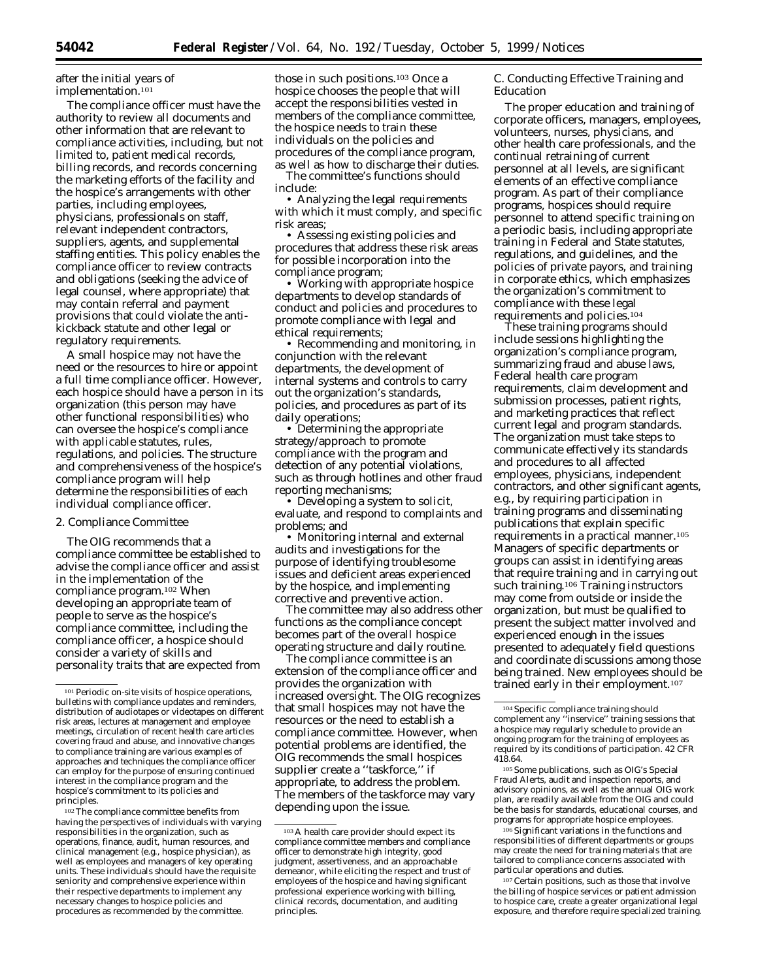after the initial years of implementation.101

The compliance officer must have the authority to review all documents and other information that are relevant to compliance activities, including, but not limited to, patient medical records, billing records, and records concerning the marketing efforts of the facility and the hospice's arrangements with other parties, including employees, physicians, professionals on staff, relevant independent contractors, suppliers, agents, and supplemental staffing entities. This policy enables the compliance officer to review contracts and obligations (seeking the advice of legal counsel, where appropriate) that may contain referral and payment provisions that could violate the antikickback statute and other legal or regulatory requirements.

A small hospice may not have the need or the resources to hire or appoint a full time compliance officer. However, each hospice should have a person in its organization (this person may have other functional responsibilities) who can oversee the hospice's compliance with applicable statutes, rules, regulations, and policies. The structure and comprehensiveness of the hospice's compliance program will help determine the responsibilities of each individual compliance officer.

## 2. Compliance Committee

The OIG recommends that a compliance committee be established to advise the compliance officer and assist in the implementation of the compliance program.102 When developing an appropriate team of people to serve as the hospice's compliance committee, including the compliance officer, a hospice should consider a variety of skills and personality traits that are expected from

102 The compliance committee benefits from having the perspectives of individuals with varying responsibilities in the organization, such as operations, finance, audit, human resources, and clinical management (*e.g.*, hospice physician), as well as employees and managers of key operating units. These individuals should have the requisite seniority and comprehensive experience within their respective departments to implement any necessary changes to hospice policies and procedures as recommended by the committee.

those in such positions.103 Once a hospice chooses the people that will accept the responsibilities vested in members of the compliance committee, the hospice needs to train these individuals on the policies and procedures of the compliance program, as well as how to discharge their duties.

The committee's functions should include:

• Analyzing the legal requirements with which it must comply, and specific risk areas;

• Assessing existing policies and procedures that address these risk areas for possible incorporation into the compliance program;

• Working with appropriate hospice departments to develop standards of conduct and policies and procedures to promote compliance with legal and ethical requirements;

• Recommending and monitoring, in conjunction with the relevant departments, the development of internal systems and controls to carry out the organization's standards, policies, and procedures as part of its daily operations;

• Determining the appropriate strategy/approach to promote compliance with the program and detection of any potential violations, such as through hotlines and other fraud reporting mechanisms;

• Developing a system to solicit, evaluate, and respond to complaints and problems; and

• Monitoring internal and external audits and investigations for the purpose of identifying troublesome issues and deficient areas experienced by the hospice, and implementing corrective and preventive action.

The committee may also address other functions as the compliance concept becomes part of the overall hospice operating structure and daily routine.

The compliance committee is an extension of the compliance officer and provides the organization with increased oversight. The OIG recognizes that small hospices may not have the resources or the need to establish a compliance committee. However, when potential problems are identified, the OIG recommends the small hospices supplier create a ''taskforce,'' if appropriate, to address the problem. The members of the taskforce may vary depending upon the issue.

# *C. Conducting Effective Training and Education*

The proper education and training of corporate officers, managers, employees, volunteers, nurses, physicians, and other health care professionals, and the continual retraining of current personnel at all levels, are significant elements of an effective compliance program. As part of their compliance programs, hospices should require personnel to attend specific training on a periodic basis, including appropriate training in Federal and State statutes, regulations, and guidelines, and the policies of private payors, and training in corporate ethics, which emphasizes the organization's commitment to compliance with these legal requirements and policies.104

These training programs should include sessions highlighting the organization's compliance program, summarizing fraud and abuse laws, Federal health care program requirements, claim development and submission processes, patient rights, and marketing practices that reflect current legal and program standards. The organization must take steps to communicate effectively its standards and procedures to all affected employees, physicians, independent contractors, and other significant agents, *e.g.,* by requiring participation in training programs and disseminating publications that explain specific requirements in a practical manner.105 Managers of specific departments or groups can assist in identifying areas that require training and in carrying out such training.106 Training instructors may come from outside or inside the organization, but must be qualified to present the subject matter involved and experienced enough in the issues presented to adequately field questions and coordinate discussions among those being trained. New employees should be trained early in their employment.107

106 Significant variations in the functions and responsibilities of different departments or groups may create the need for training materials that are tailored to compliance concerns associated with particular operations and duties.

107 Certain positions, such as those that involve the billing of hospice services or patient admission to hospice care, create a greater organizational legal exposure, and therefore require specialized training.

<sup>101</sup> Periodic on-site visits of hospice operations, bulletins with compliance updates and reminders, distribution of audiotapes or videotapes on different risk areas, lectures at management and employee meetings, circulation of recent health care articles covering fraud and abuse, and innovative changes to compliance training are various examples of approaches and techniques the compliance officer can employ for the purpose of ensuring continued interest in the compliance program and the hospice's commitment to its policies and principles.

<sup>103</sup> A health care provider should expect its compliance committee members and compliance officer to demonstrate high integrity, good judgment, assertiveness, and an approachable demeanor, while eliciting the respect and trust of employees of the hospice and having significant professional experience working with billing, clinical records, documentation, and auditing principles.

<sup>104</sup> Specific compliance training should complement any ''inservice'' training sessions that a hospice may regularly schedule to provide an ongoing program for the training of employees as required by its conditions of participation. 42 CFR 418.64.

<sup>105</sup> Some publications, such as OIG's Special Fraud Alerts, audit and inspection reports, and advisory opinions, as well as the annual OIG work plan, are readily available from the OIG and could be the basis for standards, educational courses, and programs for appropriate hospice employees.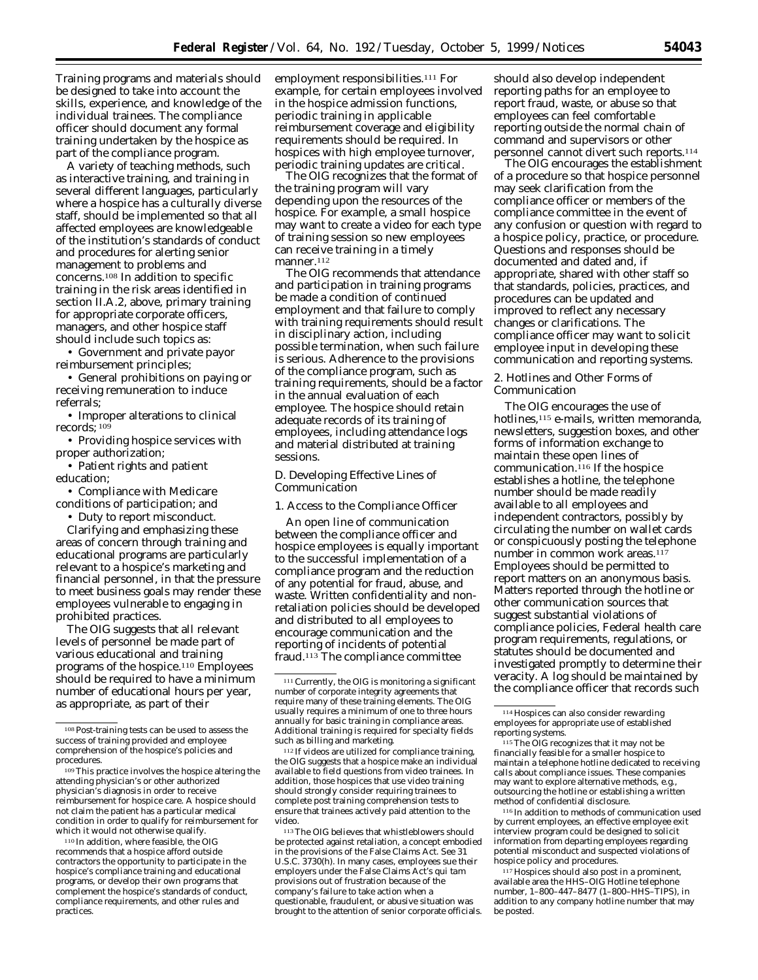Training programs and materials should be designed to take into account the skills, experience, and knowledge of the individual trainees. The compliance officer should document any formal training undertaken by the hospice as part of the compliance program.

A variety of teaching methods, such as interactive training, and training in several different languages, particularly where a hospice has a culturally diverse staff, should be implemented so that all affected employees are knowledgeable of the institution's standards of conduct and procedures for alerting senior management to problems and concerns.108 In addition to specific training in the risk areas identified in section II.A.2, above, primary training for appropriate corporate officers, managers, and other hospice staff should include such topics as:

• Government and private payor reimbursement principles;

• General prohibitions on paying or receiving remuneration to induce referrals;

• Improper alterations to clinical records; 109

- Providing hospice services with proper authorization;
- Patient rights and patient education;

• Compliance with Medicare conditions of participation; and

• Duty to report misconduct.

Clarifying and emphasizing these areas of concern through training and educational programs are particularly relevant to a hospice's marketing and financial personnel, in that the pressure to meet business goals may render these employees vulnerable to engaging in prohibited practices.

The OIG suggests that all relevant levels of personnel be made part of various educational and training programs of the hospice.110 Employees should be required to have a minimum number of educational hours per year, as appropriate, as part of their

110 In addition, where feasible, the OIG recommends that a hospice afford outside contractors the opportunity to participate in the hospice's compliance training and educational programs, or develop their own programs that complement the hospice's standards of conduct, compliance requirements, and other rules and practices.

employment responsibilities.111 For example, for certain employees involved in the hospice admission functions, periodic training in applicable reimbursement coverage and eligibility requirements should be required. In hospices with high employee turnover, periodic training updates are critical.

The OIG recognizes that the format of the training program will vary depending upon the resources of the hospice. For example, a small hospice may want to create a video for each type of training session so new employees can receive training in a timely manner.<sup>112</sup>

The OIG recommends that attendance and participation in training programs be made a condition of continued employment and that failure to comply with training requirements should result in disciplinary action, including possible termination, when such failure is serious. Adherence to the provisions of the compliance program, such as training requirements, should be a factor in the annual evaluation of each employee. The hospice should retain adequate records of its training of employees, including attendance logs and material distributed at training sessions.

#### *D. Developing Effective Lines of Communication*

1. Access to the Compliance Officer

An open line of communication between the compliance officer and hospice employees is equally important to the successful implementation of a compliance program and the reduction of any potential for fraud, abuse, and waste. Written confidentiality and nonretaliation policies should be developed and distributed to all employees to encourage communication and the reporting of incidents of potential fraud.113 The compliance committee

112 If videos are utilized for compliance training, the OIG suggests that a hospice make an individual available to field questions from video trainees. In addition, those hospices that use video training should strongly consider requiring trainees to complete post training comprehension tests to ensure that trainees actively paid attention to the video.

113 The OIG believes that whistleblowers should be protected against retaliation, a concept embodied in the provisions of the False Claims Act. *See* 31 U.S.C. 3730(h). In many cases, employees sue their employers under the False Claims Act's *qui tam*  provisions out of frustration because of the company's failure to take action when a questionable, fraudulent, or abusive situation was brought to the attention of senior corporate officials.

should also develop independent reporting paths for an employee to report fraud, waste, or abuse so that employees can feel comfortable reporting outside the normal chain of command and supervisors or other personnel cannot divert such reports.114

The OIG encourages the establishment of a procedure so that hospice personnel may seek clarification from the compliance officer or members of the compliance committee in the event of any confusion or question with regard to a hospice policy, practice, or procedure. Questions and responses should be documented and dated and, if appropriate, shared with other staff so that standards, policies, practices, and procedures can be updated and improved to reflect any necessary changes or clarifications. The compliance officer may want to solicit employee input in developing these communication and reporting systems.

#### 2. Hotlines and Other Forms of Communication

The OIG encourages the use of hotlines,<sup>115</sup> e-mails, written memoranda, newsletters, suggestion boxes, and other forms of information exchange to maintain these open lines of communication.<sup>116</sup> If the hospice establishes a hotline, the telephone number should be made readily available to all employees and independent contractors, possibly by circulating the number on wallet cards or conspicuously posting the telephone number in common work areas.<sup>117</sup> Employees should be permitted to report matters on an anonymous basis. Matters reported through the hotline or other communication sources that suggest substantial violations of compliance policies, Federal health care program requirements, regulations, or statutes should be documented and investigated promptly to determine their veracity. A log should be maintained by the compliance officer that records such

116 In addition to methods of communication used by current employees, an effective employee exit interview program could be designed to solicit information from departing employees regarding potential misconduct and suspected violations of hospice policy and procedures.

<sup>108</sup> Post-training tests can be used to assess the success of training provided and employee comprehension of the hospice's policies and procedures.

<sup>109</sup> This practice involves the hospice altering the attending physician's or other authorized physician's diagnosis in order to receive reimbursement for hospice care. A hospice should not claim the patient has a particular medical condition in order to qualify for reimbursement for which it would not otherwise qualify.

<sup>111</sup> Currently, the OIG is monitoring a significant number of corporate integrity agreements that require many of these training elements. The OIG usually requires a minimum of one to three hours annually for basic training in compliance areas. Additional training is required for specialty fields such as billing and marketing.

<sup>114</sup> Hospices can also consider rewarding employees for appropriate use of established reporting systems.

<sup>115</sup> The OIG recognizes that it may not be financially feasible for a smaller hospice to maintain a telephone hotline dedicated to receiving calls about compliance issues. These companies may want to explore alternative methods, *e.g.*, outsourcing the hotline or establishing a written method of confidential disclosure.

<sup>117</sup> Hospices should also post in a prominent, available area the HHS–OIG Hotline telephone number, 1–800–447–8477 (1–800–HHS–TIPS), in addition to any company hotline number that may be posted.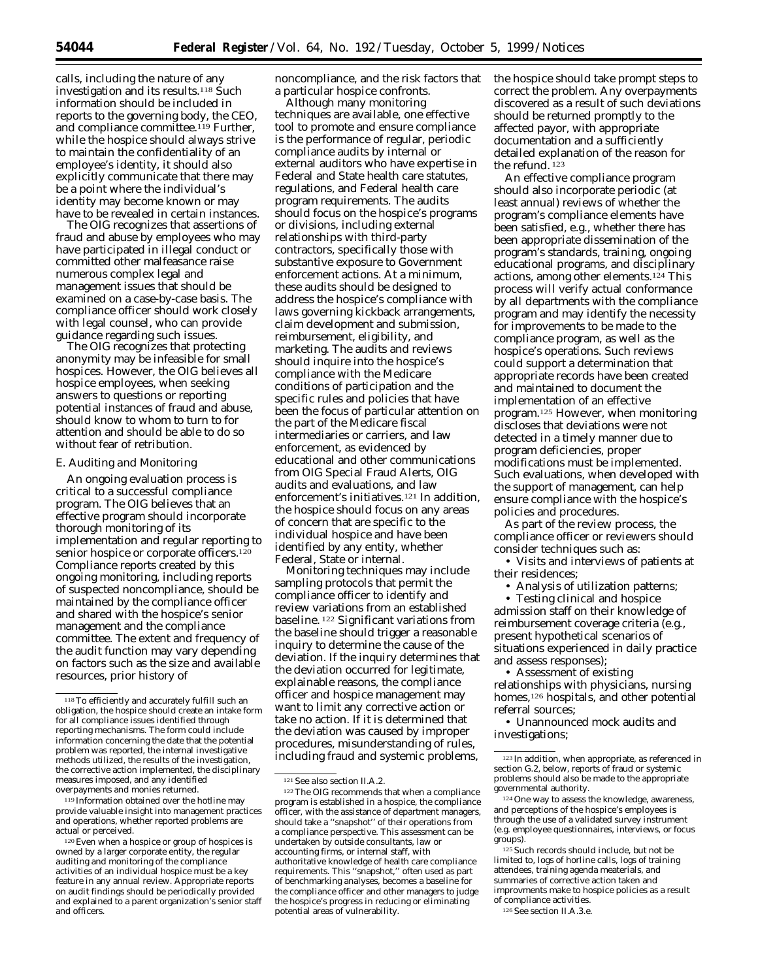calls, including the nature of any investigation and its results.118 Such information should be included in reports to the governing body, the CEO, and compliance committee.<sup>119</sup> Further, while the hospice should always strive to maintain the confidentiality of an employee's identity, it should also explicitly communicate that there may be a point where the individual's identity may become known or may have to be revealed in certain instances.

The OIG recognizes that assertions of fraud and abuse by employees who may have participated in illegal conduct or committed other malfeasance raise numerous complex legal and management issues that should be examined on a case-by-case basis. The compliance officer should work closely with legal counsel, who can provide guidance regarding such issues.

The OIG recognizes that protecting anonymity may be infeasible for small hospices. However, the OIG believes all hospice employees, when seeking answers to questions or reporting potential instances of fraud and abuse, should know to whom to turn to for attention and should be able to do so without fear of retribution.

#### *E. Auditing and Monitoring*

An ongoing evaluation process is critical to a successful compliance program. The OIG believes that an effective program should incorporate thorough monitoring of its implementation and regular reporting to senior hospice or corporate officers.<sup>120</sup> Compliance reports created by this ongoing monitoring, including reports of suspected noncompliance, should be maintained by the compliance officer and shared with the hospice's senior management and the compliance committee. The extent and frequency of the audit function may vary depending on factors such as the size and available resources, prior history of

119 Information obtained over the hotline may provide valuable insight into management practices and operations, whether reported problems are actual or perceived.

120 Even when a hospice or group of hospices is owned by a larger corporate entity, the regular auditing and monitoring of the compliance activities of an individual hospice must be a key feature in any annual review. Appropriate reports on audit findings should be periodically provided and explained to a parent organization's senior staff and officers.

noncompliance, and the risk factors that a particular hospice confronts.

Although many monitoring techniques are available, one effective tool to promote and ensure compliance is the performance of regular, periodic compliance audits by internal or external auditors who have expertise in Federal and State health care statutes, regulations, and Federal health care program requirements. The audits should focus on the hospice's programs or divisions, including external relationships with third-party contractors, specifically those with substantive exposure to Government enforcement actions. At a minimum, these audits should be designed to address the hospice's compliance with laws governing kickback arrangements, claim development and submission, reimbursement, eligibility, and marketing. The audits and reviews should inquire into the hospice's compliance with the Medicare conditions of participation and the specific rules and policies that have been the focus of particular attention on the part of the Medicare fiscal intermediaries or carriers, and law enforcement, as evidenced by educational and other communications from OIG Special Fraud Alerts, OIG audits and evaluations, and law enforcement's initiatives.121 In addition, the hospice should focus on any areas of concern that are specific to the individual hospice and have been identified by any entity, whether Federal, State or internal.

Monitoring techniques may include sampling protocols that permit the compliance officer to identify and review variations from an established baseline. 122 Significant variations from the baseline should trigger a reasonable inquiry to determine the cause of the deviation. If the inquiry determines that the deviation occurred for legitimate, explainable reasons, the compliance officer and hospice management may want to limit any corrective action or take no action. If it is determined that the deviation was caused by improper procedures, misunderstanding of rules, including fraud and systemic problems,

the hospice should take prompt steps to correct the problem. Any overpayments discovered as a result of such deviations should be returned promptly to the affected payor, with appropriate documentation and a sufficiently detailed explanation of the reason for the refund. 123

An effective compliance program should also incorporate periodic (at least annual) reviews of whether the program's compliance elements have been satisfied, *e.g.,* whether there has been appropriate dissemination of the program's standards, training, ongoing educational programs, and disciplinary actions, among other elements.124 This process will verify actual conformance by all departments with the compliance program and may identify the necessity for improvements to be made to the compliance program, as well as the hospice's operations. Such reviews could support a determination that appropriate records have been created and maintained to document the implementation of an effective program.125 However, when monitoring discloses that deviations were not detected in a timely manner due to program deficiencies, proper modifications must be implemented. Such evaluations, when developed with the support of management, can help ensure compliance with the hospice's policies and procedures.

As part of the review process, the compliance officer or reviewers should consider techniques such as:

• Visits and interviews of patients at their residences;

• Analysis of utilization patterns;

• Testing clinical and hospice admission staff on their knowledge of reimbursement coverage criteria (*e.g.,*  present hypothetical scenarios of situations experienced in daily practice and assess responses);

• Assessment of existing relationships with physicians, nursing homes,<sup>126</sup> hospitals, and other potential referral sources;

• Unannounced mock audits and investigations;

<sup>118</sup> To efficiently and accurately fulfill such an obligation, the hospice should create an intake form for all compliance issues identified through reporting mechanisms. The form could include information concerning the date that the potential problem was reported, the internal investigative methods utilized, the results of the investigation, the corrective action implemented, the disciplinary measures imposed, and any identified overpayments and monies returned.

<sup>121</sup> *See also* section II.A.2.

<sup>122</sup> The OIG recommends that when a compliance program is established in a hospice, the compliance officer, with the assistance of department managers, should take a ''snapshot'' of their operations from a compliance perspective. This assessment can be undertaken by outside consultants, law or accounting firms, or internal staff, with authoritative knowledge of health care compliance requirements. This ''snapshot,'' often used as part of benchmarking analyses, becomes a baseline for the compliance officer and other managers to judge the hospice's progress in reducing or eliminating potential areas of vulnerability.

<sup>123</sup> In addition, when appropriate, as referenced in section G.2, below, reports of fraud or systemic problems should also be made to the appropriate governmental authority.

<sup>124</sup> One way to assess the knowledge, awareness, and perceptions of the hospice's employees is through the use of a validated survey instrument (*e.g.* employee questionnaires, interviews, or focus groups).

<sup>&</sup>lt;sup>125</sup> Such records should include, but not be limited to, logs of horline calls, logs of training attendees, training agenda meaterials, and summaries of corrective action taken and improvments make to hospice policies as a result of compliance activities.

<sup>126</sup> *See* section II.A.3.e.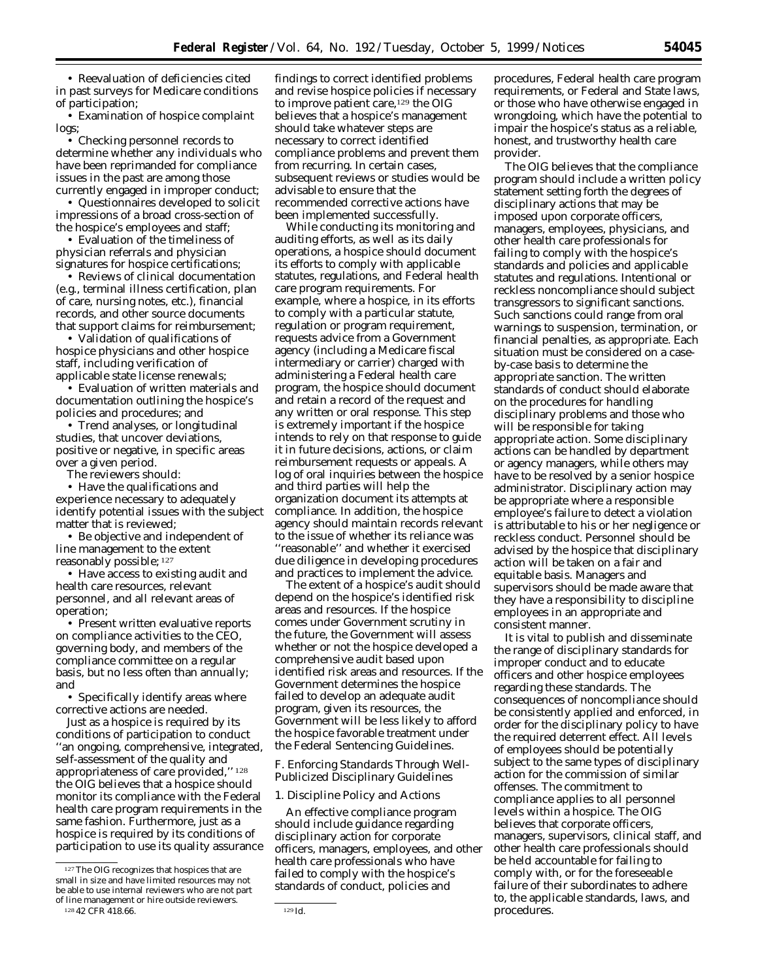• Reevaluation of deficiencies cited findings to correct identified problems in past surveys for Medicare conditions and revise hospice policies if necessary of participation; the improve patient care,<sup>129</sup> the OIG

logs; should take whatever steps are

• Checking personnel records to necessary to correct identified determine whether any individuals who compliance problems and prevent them have been reprimanded for compliance from recurring. In certain cases,

• Questionnaires developed to solicit impressions of a broad cross-section of been implemented successfully.

signatures for hospice certifications;

(*e.g.*, terminal illness certification, plan care program requirements. For of care, nursing notes, etc.), financial example, where a hospice, in its efforts records, and other source documents to comply with a particular statute, that support claims for reimbursement; regulation or program requirement,

that support claims for reimbursement;<br>• Validation of qualifications of hospice physicians and other hospice agency (including a Medicare fiscal staff, including verification of intermediary or carrier) charged with applicable state license renewals: administering a Federal health care

documentation outlining the hospice's and retain a record of the request and policies and procedures; and any written or oral response. This step

 $\bullet$  Have the qualifications and experience necessary to adequately organization document its attempts at identify potential issues with the subject compliance. In addition, the hospice

**operation;** areas and resources. If the hospice

on compliance activities to the CEO, the future, the Government will assess basis, but no less often than annually; and Government determines the hospice

corrective actions are needed. program, given its resources, the

conditions of participation to conduct the hospice favorable treatment une<br>"an ongoing, comprehensive, integrated, the Federal Sentencing Guidelines. "an ongoing, comprehensive, integrated, self-assessment of the quality and appropriateness of care provided,'' 128 *F. Enforcing Standards Through Well*the OIG believes that a hospice should<br>monitor its compliance with the Federal 1. Discipline Policy and Actions monitor its compliance with the Federal health care program requirements in the An effective compliance program<br>same fashion. Furthermore, just as a should include guidance regarding<br>hospice is required by its conditions of disciplinary action for corporate<br>part

• Examination of hospice complaint believes that a hospice's management issues in the past are among those subsequent reviews or studies would be<br>currently engaged in improper conduct; advisable to ensure that the currently engaged in improper conduct; advisable to ensure that the

the hospice's employees and staff; While conducting its monitoring and • Evaluation of the timeliness of auditing efforts, as well as its daily physician referrals and physician operations, a hospice should document<br>signatures for hospice certifications: its efforts to comply with applicable • Reviews of clinical documentation statutes, regulations, and Federal health requests advice from a Government administering a Federal health care • Evaluation of written materials and program, the hospice should document • Trend analyses, or longitudinal is extremely important if the hospice studies, that uncover deviations, intends to rely on that response to guide positive or negative, in specific areas it in future decisions, actions, or claim over a given period. **Referent in the controller of the controller** reimbursement requests or appeals. A The reviewers should: log of oral inquiries between the hospice<br>• Have the qualifications and and third parties will help the matter that is reviewed; agency should maintain records relevant • Be objective and independent of to the issue of whether its reliance was line management to the extent ''reasonable'' and whether it exercised reasonably possible; <sup>127</sup> due diligence in developing procedures • Have access to existing audit and and practices to implement the advice.

health care resources, relevant The extent of a hospice's audit should<br>personnel, and all relevant areas of depend on the hospice's identified risk depend on the hospice's identified risk • Present written evaluative reports comes under Government scrutiny in governing body, and members of the whether or not the hospice developed a compliance committee on a regular comprehensive audit based upon<br>basis, but no less often than annually; dentified risk areas and resources. If the  $\bullet\,$  Specifically identify areas where  $\qquad\,$  failed to develop an adequate audit Just as a hospice is required by its Government will be less likely to afford

health care professionals who have<br><sup>127</sup>The OIG recognizes that hospices that are 127The OIG recognizes that hospices that are 127The OIG recognizes

procedures, Federal health care program requirements, or Federal and State laws, or those who have otherwise engaged in wrongdoing, which have the potential to impair the hospice's status as a reliable, honest, and trustworthy health care provider.

The OIG believes that the compliance program should include a written policy statement setting forth the degrees of disciplinary actions that may be imposed upon corporate officers, managers, employees, physicians, and other health care professionals for failing to comply with the hospice's standards and policies and applicable statutes and regulations. Intentional or reckless noncompliance should subject transgressors to significant sanctions. Such sanctions could range from oral warnings to suspension, termination, or financial penalties, as appropriate. Each situation must be considered on a caseby-case basis to determine the appropriate sanction. The written standards of conduct should elaborate on the procedures for handling disciplinary problems and those who will be responsible for taking appropriate action. Some disciplinary actions can be handled by department or agency managers, while others may have to be resolved by a senior hospice administrator. Disciplinary action may be appropriate where a responsible employee's failure to detect a violation is attributable to his or her negligence or reckless conduct. Personnel should be advised by the hospice that disciplinary action will be taken on a fair and equitable basis. Managers and supervisors should be made aware that they have a responsibility to discipline employees in an appropriate and consistent manner.

It is vital to publish and disseminate the range of disciplinary standards for improper conduct and to educate officers and other hospice employees regarding these standards. The consequences of noncompliance should be consistently applied and enforced, in order for the disciplinary policy to have the required deterrent effect. All levels of employees should be potentially subject to the same types of disciplinary action for the commission of similar offenses. The commitment to compliance applies to all personnel levels within a hospice. The OIG believes that corporate officers, managers, supervisors, clinical staff, and other health care professionals should be held accountable for failing to comply with, or for the foreseeable failure of their subordinates to adhere to, the applicable standards, laws, and procedures.

 $\frac{127}{100}$  in size and have limited resources may not failed to comply with the hospice's<br>small in size and have limited resources may not standards of conduct, policies and be able to use internal reviewers who are not part of line management or hire outside reviewers. 128 42 CFR 418.66. 129 *Id.*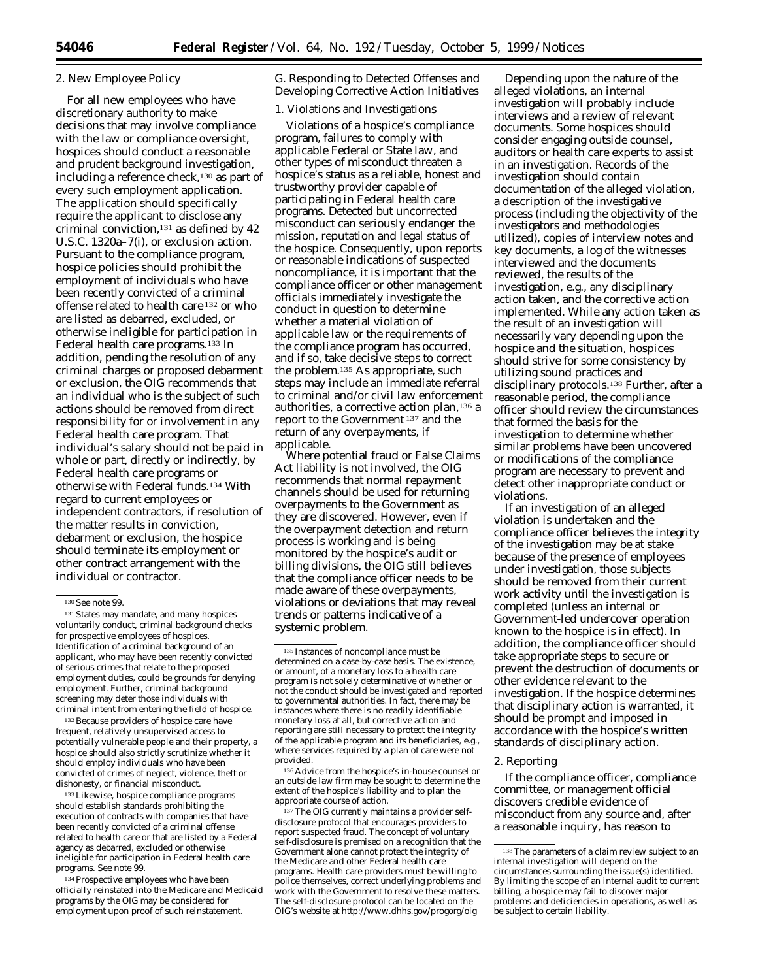#### 2. New Employee Policy

For all new employees who have discretionary authority to make decisions that may involve compliance with the law or compliance oversight, hospices should conduct a reasonable and prudent background investigation, including a reference check,<sup>130</sup> as part of every such employment application. The application should specifically require the applicant to disclose any criminal conviction,131 as defined by 42 U.S.C. 1320a–7(i), or exclusion action. Pursuant to the compliance program, hospice policies should prohibit the employment of individuals who have been recently convicted of a criminal offense related to health care 132 or who are listed as debarred, excluded, or otherwise ineligible for participation in Federal health care programs.133 In addition, pending the resolution of any criminal charges or proposed debarment or exclusion, the OIG recommends that an individual who is the subject of such actions should be removed from direct responsibility for or involvement in any Federal health care program. That individual's salary should not be paid in whole or part, directly or indirectly, by Federal health care programs or otherwise with Federal funds.134 With regard to current employees or independent contractors, if resolution of the matter results in conviction, debarment or exclusion, the hospice should terminate its employment or other contract arrangement with the individual or contractor.

132 Because providers of hospice care have frequent, relatively unsupervised access to potentially vulnerable people and their property, a hospice should also strictly scrutinize whether it should employ individuals who have been convicted of crimes of neglect, violence, theft or dishonesty, or financial misconduct.

133 Likewise, hospice compliance programs should establish standards prohibiting the execution of contracts with companies that have been recently convicted of a criminal offense related to health care or that are listed by a Federal agency as debarred, excluded or otherwise ineligible for participation in Federal health care programs. *See* note 99.

134 Prospective employees who have been officially reinstated into the Medicare and Medicaid programs by the OIG may be considered for employment upon proof of such reinstatement.

# *G. Responding to Detected Offenses and Developing Corrective Action Initiatives*

# 1. Violations and Investigations

Violations of a hospice's compliance program, failures to comply with applicable Federal or State law, and other types of misconduct threaten a hospice's status as a reliable, honest and trustworthy provider capable of participating in Federal health care programs. Detected but uncorrected misconduct can seriously endanger the mission, reputation and legal status of the hospice. Consequently, upon reports or reasonable indications of suspected noncompliance, it is important that the compliance officer or other management officials immediately investigate the conduct in question to determine whether a material violation of applicable law or the requirements of the compliance program has occurred, and if so, take decisive steps to correct the problem.135 As appropriate, such steps may include an immediate referral to criminal and/or civil law enforcement authorities, a corrective action plan,<sup>136</sup> a report to the Government 137 and the return of any overpayments, if applicable.

Where potential fraud or False Claims Act liability is not involved, the OIG recommends that normal repayment channels should be used for returning overpayments to the Government as they are discovered. However, even if the overpayment detection and return process is working and is being monitored by the hospice's audit or billing divisions, the OIG still believes that the compliance officer needs to be made aware of these overpayments, violations or deviations that may reveal trends or patterns indicative of a systemic problem.

136 Advice from the hospice's in-house counsel or an outside law firm may be sought to determine the extent of the hospice's liability and to plan the appropriate course of action.

137 The OIG currently maintains a provider selfdisclosure protocol that encourages providers to report suspected fraud. The concept of voluntary self-disclosure is premised on a recognition that the Government alone cannot protect the integrity of the Medicare and other Federal health care programs. Health care providers must be willing to police themselves, correct underlying problems and work with the Government to resolve these matters. The self-disclosure protocol can be located on the OIG's website at http://www.dhhs.gov/progorg/oig

Depending upon the nature of the alleged violations, an internal investigation will probably include interviews and a review of relevant documents. Some hospices should consider engaging outside counsel, auditors or health care experts to assist in an investigation. Records of the investigation should contain documentation of the alleged violation, a description of the investigative process (including the objectivity of the investigators and methodologies utilized), copies of interview notes and key documents, a log of the witnesses interviewed and the documents reviewed, the results of the investigation, *e.g.,* any disciplinary action taken, and the corrective action implemented. While any action taken as the result of an investigation will necessarily vary depending upon the hospice and the situation, hospices should strive for some consistency by utilizing sound practices and disciplinary protocols.138 Further, after a reasonable period, the compliance officer should review the circumstances that formed the basis for the investigation to determine whether similar problems have been uncovered or modifications of the compliance program are necessary to prevent and detect other inappropriate conduct or violations.

If an investigation of an alleged violation is undertaken and the compliance officer believes the integrity of the investigation may be at stake because of the presence of employees under investigation, those subjects should be removed from their current work activity until the investigation is completed (unless an internal or Government-led undercover operation known to the hospice is in effect). In addition, the compliance officer should take appropriate steps to secure or prevent the destruction of documents or other evidence relevant to the investigation. If the hospice determines that disciplinary action is warranted, it should be prompt and imposed in accordance with the hospice's written standards of disciplinary action.

# 2. Reporting

If the compliance officer, compliance committee, or management official discovers credible evidence of misconduct from any source and, after a reasonable inquiry, has reason to

<sup>130</sup> *See* note 99.

<sup>131</sup> States may mandate, and many hospices voluntarily conduct, criminal background checks for prospective employees of hospices. Identification of a criminal background of an applicant, who may have been recently convicted of serious crimes that relate to the proposed employment duties, could be grounds for denying employment. Further, criminal background screening may deter those individuals with criminal intent from entering the field of hospice.

<sup>135</sup> Instances of noncompliance must be determined on a case-by-case basis. The existence, or amount, of a *monetary* loss to a health care program is not solely determinative of whether or not the conduct should be investigated and reported to governmental authorities. In fact, there may be instances where there is no readily identifiable monetary loss at all, but corrective action and reporting are still necessary to protect the integrity of the applicable program and its beneficiaries, e.g., where services required by a plan of care were not provided.

<sup>138</sup> The parameters of a claim review subject to an internal investigation will depend on the circumstances surrounding the issue(s) identified. By limiting the scope of an internal audit to current billing, a hospice may fail to discover major problems and deficiencies in operations, as well as be subject to certain liability.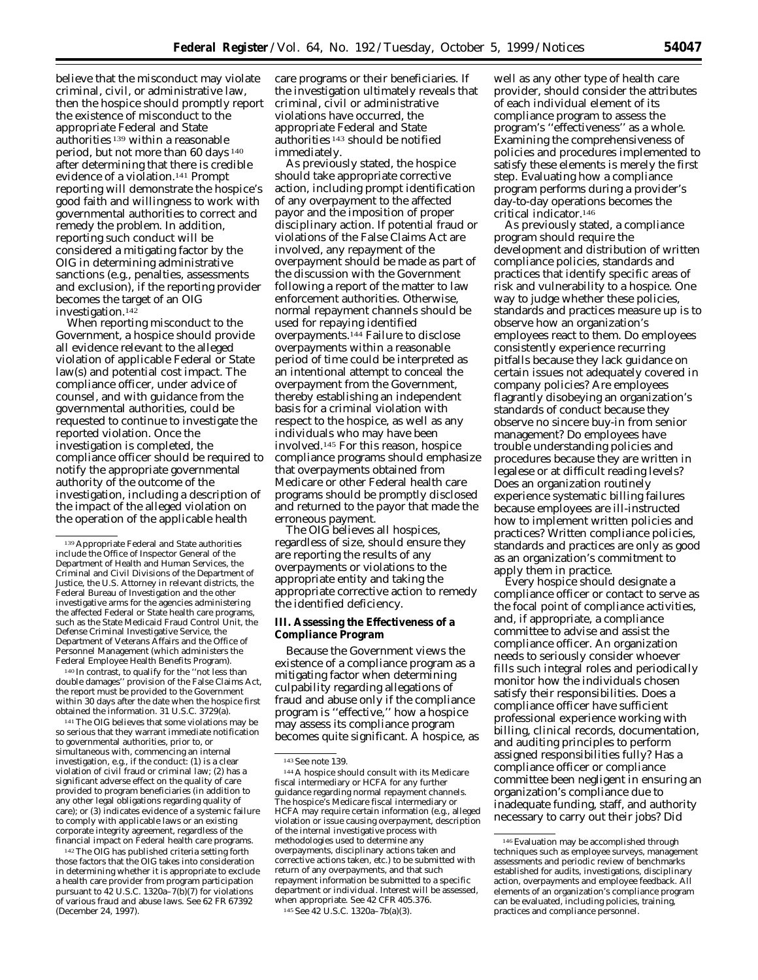believe that the misconduct may violate criminal, civil, or administrative law, then the hospice should promptly report the existence of misconduct to the appropriate Federal and State authorities 139 within a reasonable period, but not more than 60 days 140 after determining that there is credible evidence of a violation.141 Prompt reporting will demonstrate the hospice's good faith and willingness to work with governmental authorities to correct and remedy the problem. In addition, reporting such conduct will be considered a mitigating factor by the OIG in determining administrative sanctions (*e.g.,* penalties, assessments and exclusion), if the reporting provider becomes the target of an OIG investigation.142

When reporting misconduct to the Government, a hospice should provide all evidence relevant to the alleged violation of applicable Federal or State law(s) and potential cost impact. The compliance officer, under advice of counsel, and with guidance from the governmental authorities, could be requested to continue to investigate the reported violation. Once the investigation is completed, the compliance officer should be required to notify the appropriate governmental authority of the outcome of the investigation, including a description of the impact of the alleged violation on the operation of the applicable health

140 In contrast, to qualify for the ''not less than double damages'' provision of the False Claims Act, the report must be provided to the Government within 30 days after the date when the hospice first obtained the information. 31 U.S.C. 3729(a).

141 The OIG believes that some violations may be so serious that they warrant immediate notification to governmental authorities, prior to, or simultaneous with, commencing an internal investigation, *e.g.,* if the conduct: (1) is a clear violation of civil fraud or criminal law; (2) has a significant adverse effect on the quality of care provided to program beneficiaries (in addition to any other legal obligations regarding quality of care); or (3) indicates evidence of a systemic failure to comply with applicable laws or an existing corporate integrity agreement, regardless of the financial impact on Federal health care programs.

142 The OIG has published criteria setting forth those factors that the OIG takes into consideration in determining whether it is appropriate to exclude a health care provider from program participation pursuant to 42 U.S.C. 1320a–7(b)(7) for violations of various fraud and abuse laws. *See* 62 FR 67392 (December 24, 1997).

care programs or their beneficiaries. If the investigation ultimately reveals that criminal, civil or administrative violations have occurred, the appropriate Federal and State authorities 143 should be notified immediately.

As previously stated, the hospice should take appropriate corrective action, including prompt identification of any overpayment to the affected payor and the imposition of proper disciplinary action. If potential fraud or violations of the False Claims Act are involved, any repayment of the overpayment should be made as part of the discussion with the Government following a report of the matter to law enforcement authorities. Otherwise, normal repayment channels should be used for repaying identified overpayments.144 Failure to disclose overpayments within a reasonable period of time could be interpreted as an intentional attempt to conceal the overpayment from the Government, thereby establishing an independent basis for a criminal violation with respect to the hospice, as well as any individuals who may have been involved.145 For this reason, hospice compliance programs should emphasize that overpayments obtained from Medicare or other Federal health care programs should be promptly disclosed and returned to the payor that made the erroneous payment.

The OIG believes all hospices, regardless of size, should ensure they are reporting the results of any overpayments or violations to the appropriate entity and taking the appropriate corrective action to remedy the identified deficiency.

#### **III. Assessing the Effectiveness of a Compliance Program**

Because the Government views the existence of a compliance program as a mitigating factor when determining culpability regarding allegations of fraud and abuse only if the compliance program is ''effective,'' how a hospice may assess its compliance program becomes quite significant. A hospice, as

well as any other type of health care provider, should consider the attributes of each individual element of its compliance program to assess the program's ''effectiveness'' as a whole. Examining the comprehensiveness of policies and procedures implemented to satisfy these elements is merely the first step. Evaluating how a compliance program performs during a provider's day-to-day operations becomes the critical indicator.146

As previously stated, a compliance program should require the development and distribution of written compliance policies, standards and practices that identify specific areas of risk and vulnerability to a hospice. One way to judge whether these policies, standards and practices measure up is to observe how an organization's employees react to them. Do employees consistently experience recurring pitfalls because they lack guidance on certain issues not adequately covered in company policies? Are employees flagrantly disobeying an organization's standards of conduct because they observe no sincere buy-in from senior management? Do employees have trouble understanding policies and procedures because they are written in legalese or at difficult reading levels? Does an organization routinely experience systematic billing failures because employees are ill-instructed how to implement written policies and practices? Written compliance policies, standards and practices are only as good as an organization's commitment to apply them in practice.

Every hospice should designate a compliance officer or contact to serve as the focal point of compliance activities, and, if appropriate, a compliance committee to advise and assist the compliance officer. An organization needs to seriously consider whoever fills such integral roles and periodically monitor how the individuals chosen satisfy their responsibilities. Does a compliance officer have sufficient professional experience working with billing, clinical records, documentation, and auditing principles to perform assigned responsibilities fully? Has a compliance officer or compliance committee been negligent in ensuring an organization's compliance due to inadequate funding, staff, and authority necessary to carry out their jobs? Did

<sup>139</sup> Appropriate Federal and State authorities include the Office of Inspector General of the Department of Health and Human Services, the Criminal and Civil Divisions of the Department of Justice, the U.S. Attorney in relevant districts, the Federal Bureau of Investigation and the other investigative arms for the agencies administering the affected Federal or State health care programs, such as the State Medicaid Fraud Control Unit, the Defense Criminal Investigative Service, the Department of Veterans Affairs and the Office of Personnel Management (which administers the Federal Employee Health Benefits Program).

<sup>143</sup> *See* note 139.

<sup>144</sup> A hospice should consult with its Medicare fiscal intermediary or HCFA for any further guidance regarding normal repayment channels. The hospice's Medicare fiscal intermediary or HCFA may require certain information (*e.g.,* alleged violation or issue causing overpayment, description of the internal investigative process with methodologies used to determine any overpayments, disciplinary actions taken and corrective actions taken, etc.) to be submitted with return of any overpayments, and that such repayment information be submitted to a specific department or individual. Interest will be assessed, when appropriate. *See* 42 CFR 405.376. 145 *See* 42 U.S.C. 1320a–7b(a)(3).

<sup>146</sup> Evaluation may be accomplished through techniques such as employee surveys, management assessments and periodic review of benchmarks established for audits, investigations, disciplinary action, overpayments and employee feedback. All elements of an organization's compliance program can be evaluated, including policies, training, practices and compliance personnel.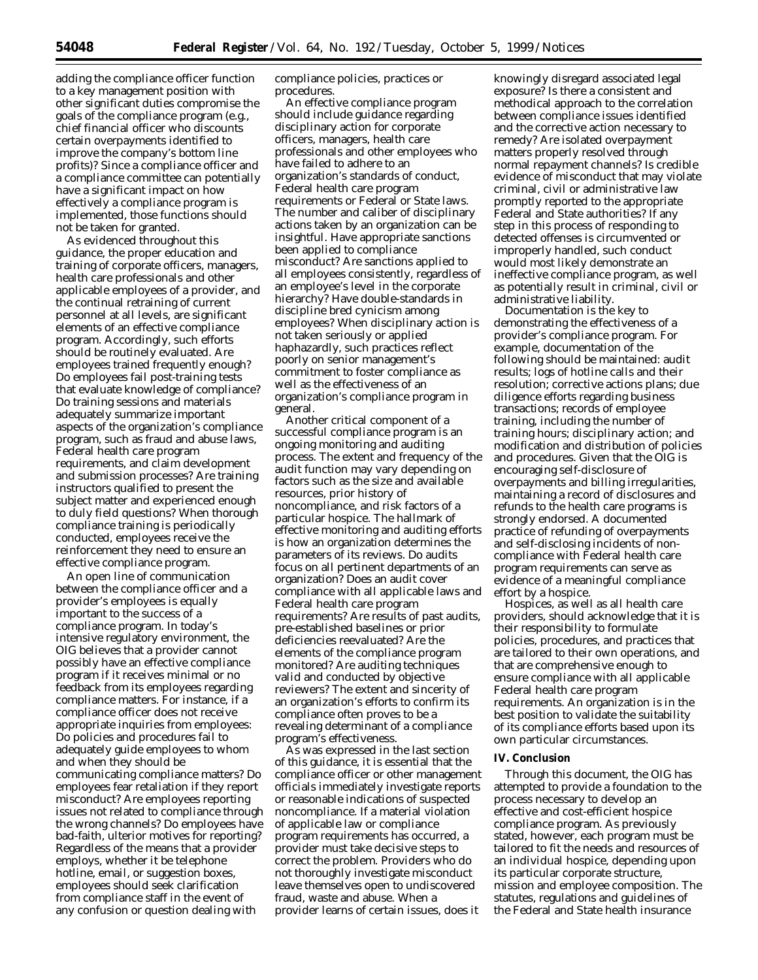adding the compliance officer function to a key management position with other significant duties compromise the goals of the compliance program (*e.g.,*  chief financial officer who discounts certain overpayments identified to improve the company's bottom line profits)? Since a compliance officer and a compliance committee can potentially have a significant impact on how effectively a compliance program is implemented, those functions should not be taken for granted.

As evidenced throughout this guidance, the proper education and training of corporate officers, managers, health care professionals and other applicable employees of a provider, and the continual retraining of current personnel at all levels, are significant elements of an effective compliance program. Accordingly, such efforts should be routinely evaluated. Are employees trained frequently enough? Do employees fail post-training tests that evaluate knowledge of compliance? Do training sessions and materials adequately summarize important aspects of the organization's compliance program, such as fraud and abuse laws, Federal health care program requirements, and claim development and submission processes? Are training instructors qualified to present the subject matter and experienced enough to duly field questions? When thorough compliance training is periodically conducted, employees receive the reinforcement they need to ensure an effective compliance program.

An open line of communication between the compliance officer and a provider's employees is equally important to the success of a compliance program. In today's intensive regulatory environment, the OIG believes that a provider cannot possibly have an effective compliance program if it receives minimal or no feedback from its employees regarding compliance matters. For instance, if a compliance officer does not receive appropriate inquiries from employees: Do policies and procedures fail to adequately guide employees to whom and when they should be communicating compliance matters? Do employees fear retaliation if they report misconduct? Are employees reporting issues not related to compliance through the wrong channels? Do employees have bad-faith, ulterior motives for reporting? Regardless of the means that a provider employs, whether it be telephone hotline, email, or suggestion boxes, employees should seek clarification from compliance staff in the event of any confusion or question dealing with

compliance policies, practices or procedures.

An effective compliance program should include guidance regarding disciplinary action for corporate officers, managers, health care professionals and other employees who have failed to adhere to an organization's standards of conduct, Federal health care program requirements or Federal or State laws. The number and caliber of disciplinary actions taken by an organization can be insightful. Have appropriate sanctions been applied to compliance misconduct? Are sanctions applied to all employees consistently, regardless of an employee's level in the corporate hierarchy? Have double-standards in discipline bred cynicism among employees? When disciplinary action is not taken seriously or applied haphazardly, such practices reflect poorly on senior management's commitment to foster compliance as well as the effectiveness of an organization's compliance program in general.

Another critical component of a successful compliance program is an ongoing monitoring and auditing process. The extent and frequency of the audit function may vary depending on factors such as the size and available resources, prior history of noncompliance, and risk factors of a particular hospice. The hallmark of effective monitoring and auditing efforts is how an organization determines the parameters of its reviews. Do audits focus on all pertinent departments of an organization? Does an audit cover compliance with all applicable laws and Federal health care program requirements? Are results of past audits, pre-established baselines or prior deficiencies reevaluated? Are the elements of the compliance program monitored? Are auditing techniques valid and conducted by objective reviewers? The extent and sincerity of an organization's efforts to confirm its compliance often proves to be a revealing determinant of a compliance program's effectiveness.

As was expressed in the last section of this guidance, it is essential that the compliance officer or other management officials immediately investigate reports or reasonable indications of suspected noncompliance. If a material violation of applicable law or compliance program requirements has occurred, a provider must take decisive steps to correct the problem. Providers who do not thoroughly investigate misconduct leave themselves open to undiscovered fraud, waste and abuse. When a provider learns of certain issues, does it

knowingly disregard associated legal exposure? Is there a consistent and methodical approach to the correlation between compliance issues identified and the corrective action necessary to remedy? Are isolated overpayment matters properly resolved through normal repayment channels? Is credible evidence of misconduct that may violate criminal, civil or administrative law promptly reported to the appropriate Federal and State authorities? If any step in this process of responding to detected offenses is circumvented or improperly handled, such conduct would most likely demonstrate an ineffective compliance program, as well as potentially result in criminal, civil or administrative liability.

Documentation is the key to demonstrating the effectiveness of a provider's compliance program. For example, documentation of the following should be maintained: audit results; logs of hotline calls and their resolution; corrective actions plans; due diligence efforts regarding business transactions; records of employee training, including the number of training hours; disciplinary action; and modification and distribution of policies and procedures. Given that the OIG is encouraging self-disclosure of overpayments and billing irregularities, maintaining a record of disclosures and refunds to the health care programs is strongly endorsed. A documented practice of refunding of overpayments and self-disclosing incidents of noncompliance with Federal health care program requirements can serve as evidence of a meaningful compliance effort by a hospice.

Hospices, as well as all health care providers, should acknowledge that it is their responsibility to formulate policies, procedures, and practices that are tailored to their own operations, and that are comprehensive enough to ensure compliance with all applicable Federal health care program requirements. An organization is in the best position to validate the suitability of its compliance efforts based upon its own particular circumstances.

#### **IV. Conclusion**

Through this document, the OIG has attempted to provide a foundation to the process necessary to develop an effective and cost-efficient hospice compliance program. As previously stated, however, each program must be tailored to fit the needs and resources of an individual hospice, depending upon its particular corporate structure, mission and employee composition. The statutes, regulations and guidelines of the Federal and State health insurance